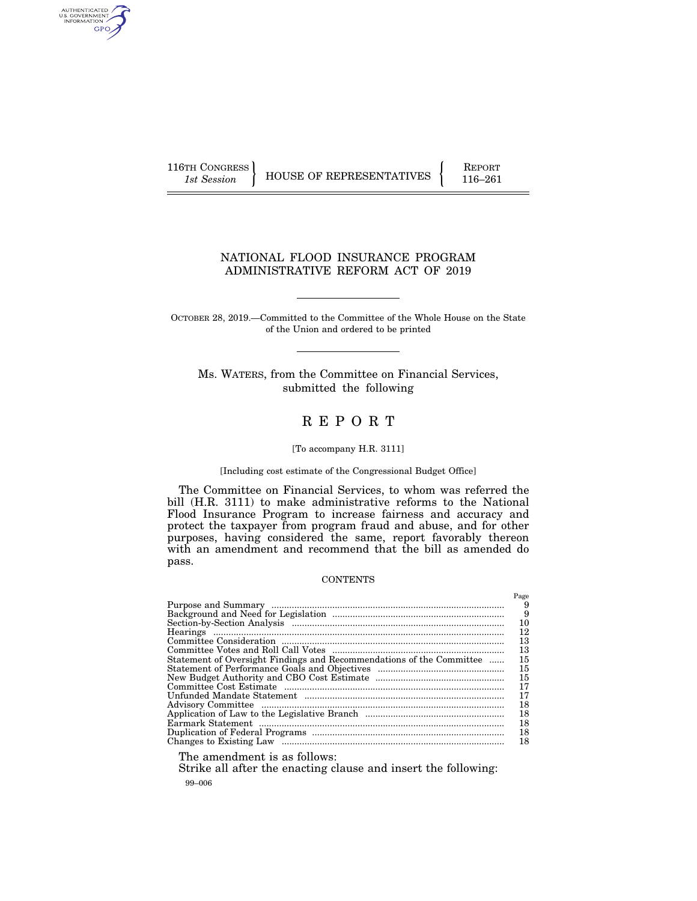AUTHENTICATED<br>U.S. GOVERNMENT<br>INFORMATION GPO

116TH CONGRESS HOUSE OF REPRESENTATIVES FEPORT 116–261

# NATIONAL FLOOD INSURANCE PROGRAM ADMINISTRATIVE REFORM ACT OF 2019

OCTOBER 28, 2019.—Committed to the Committee of the Whole House on the State of the Union and ordered to be printed

Ms. WATERS, from the Committee on Financial Services, submitted the following

# R E P O R T

# [To accompany H.R. 3111]

### [Including cost estimate of the Congressional Budget Office]

The Committee on Financial Services, to whom was referred the bill (H.R. 3111) to make administrative reforms to the National Flood Insurance Program to increase fairness and accuracy and protect the taxpayer from program fraud and abuse, and for other purposes, having considered the same, report favorably thereon with an amendment and recommend that the bill as amended do pass.

#### **CONTENTS**

|                                                                      | Page |
|----------------------------------------------------------------------|------|
|                                                                      | 9    |
|                                                                      | 9    |
|                                                                      | 10   |
|                                                                      | 12   |
|                                                                      | 13   |
|                                                                      | 13   |
| Statement of Oversight Findings and Recommendations of the Committee | 15   |
|                                                                      | 15   |
|                                                                      | 15   |
|                                                                      | 17   |
|                                                                      | 17   |
|                                                                      | 18   |
|                                                                      | 18   |
|                                                                      | 18   |
|                                                                      | 18   |
|                                                                      | 18   |
|                                                                      |      |

The amendment is as follows:

99–006 Strike all after the enacting clause and insert the following: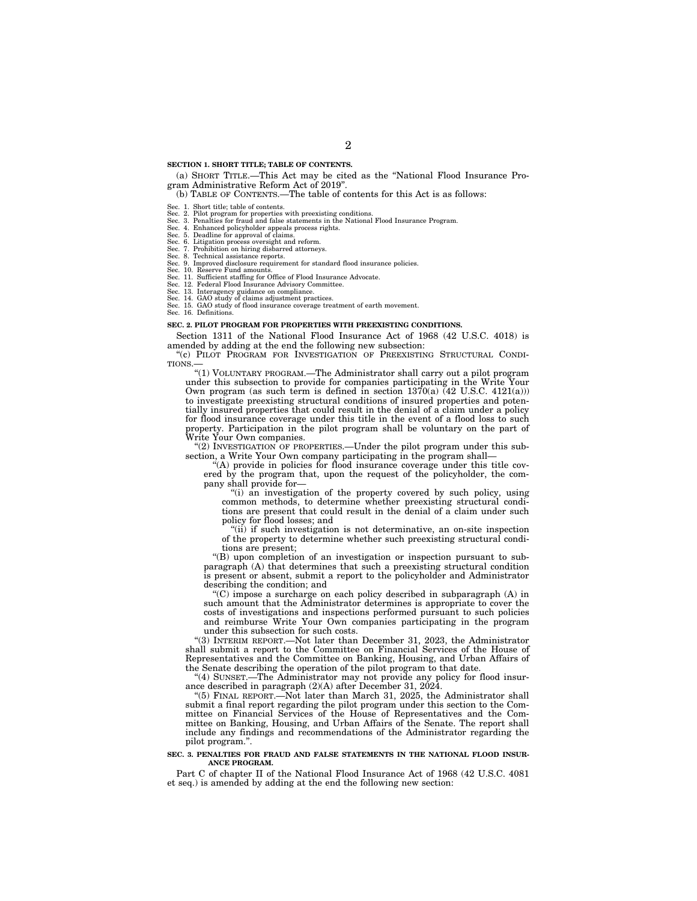#### **SECTION 1. SHORT TITLE; TABLE OF CONTENTS.**

(a) SHORT TITLE.—This Act may be cited as the ''National Flood Insurance Program Administrative Reform Act of 2019''.

(b) TABLE OF CONTENTS.—The table of contents for this Act is as follows:

Sec. 1. Short title; table of contents.<br>Sec. 2. Pilot program for properties with preexisting conditions.<br>Sec. 3. Penalties for fraud and false statements in the National Flood Insurance Program.<br>Sec. 4. Enhanced policyhol

Sec. 8. Technical assistance reports.<br>Sec. 9. Improved disclosure requirement for standard flood insurance policies.<br>Sec. 10. Reserve Fund amounts.<br>Sec. 11. Sufficient staffing for Office of Flood Insurance Advocate.<br>Sec.

#### **SEC. 2. PILOT PROGRAM FOR PROPERTIES WITH PREEXISTING CONDITIONS.**

Section 1311 of the National Flood Insurance Act of 1968 (42 U.S.C. 4018) is amended by adding at the end the following new subsection:

''(c) PILOT PROGRAM FOR INVESTIGATION OF PREEXISTING STRUCTURAL CONDI-TIONS.—

''(1) VOLUNTARY PROGRAM.—The Administrator shall carry out a pilot program under this subsection to provide for companies participating in the Write Your Own program (as such term is defined in section  $1370(a)$  (42 U.S.C. 4121(a))) to investigate preexisting structural conditions of insured properties and potentially insured properties that could result in the denial of a claim under a policy for flood insurance coverage under this title in the event of a flood loss to such property. Participation in the pilot program shall be voluntary on the part of Write Your Own companies.

''(2) INVESTIGATION OF PROPERTIES.—Under the pilot program under this subsection, a Write Your Own company participating in the program shall-

 $\mathcal{H}(A)$  provide in policies for flood insurance coverage under this title covered by the program that, upon the request of the policyholder, the company shall provide for-

''(i) an investigation of the property covered by such policy, using common methods, to determine whether preexisting structural conditions are present that could result in the denial of a claim under such policy for flood losses; and

''(ii) if such investigation is not determinative, an on-site inspection of the property to determine whether such preexisting structural conditions are present;

''(B) upon completion of an investigation or inspection pursuant to subparagraph (A) that determines that such a preexisting structural condition is present or absent, submit a report to the policyholder and Administrator describing the condition; and

''(C) impose a surcharge on each policy described in subparagraph (A) in such amount that the Administrator determines is appropriate to cover the costs of investigations and inspections performed pursuant to such policies and reimburse Write Your Own companies participating in the program under this subsection for such costs.

''(3) INTERIM REPORT.—Not later than December 31, 2023, the Administrator shall submit a report to the Committee on Financial Services of the House of Representatives and the Committee on Banking, Housing, and Urban Affairs of the Senate describing the operation of the pilot program to that date.

''(4) SUNSET.—The Administrator may not provide any policy for flood insurance described in paragraph (2)(A) after December 31, 2024.

''(5) FINAL REPORT.—Not later than March 31, 2025, the Administrator shall submit a final report regarding the pilot program under this section to the Committee on Financial Services of the House of Representatives and the Committee on Banking, Housing, and Urban Affairs of the Senate. The report shall include any findings and recommendations of the Administrator regarding the pilot program.''.

#### **SEC. 3. PENALTIES FOR FRAUD AND FALSE STATEMENTS IN THE NATIONAL FLOOD INSUR-ANCE PROGRAM.**

Part C of chapter II of the National Flood Insurance Act of 1968 (42 U.S.C. 4081 et seq.) is amended by adding at the end the following new section: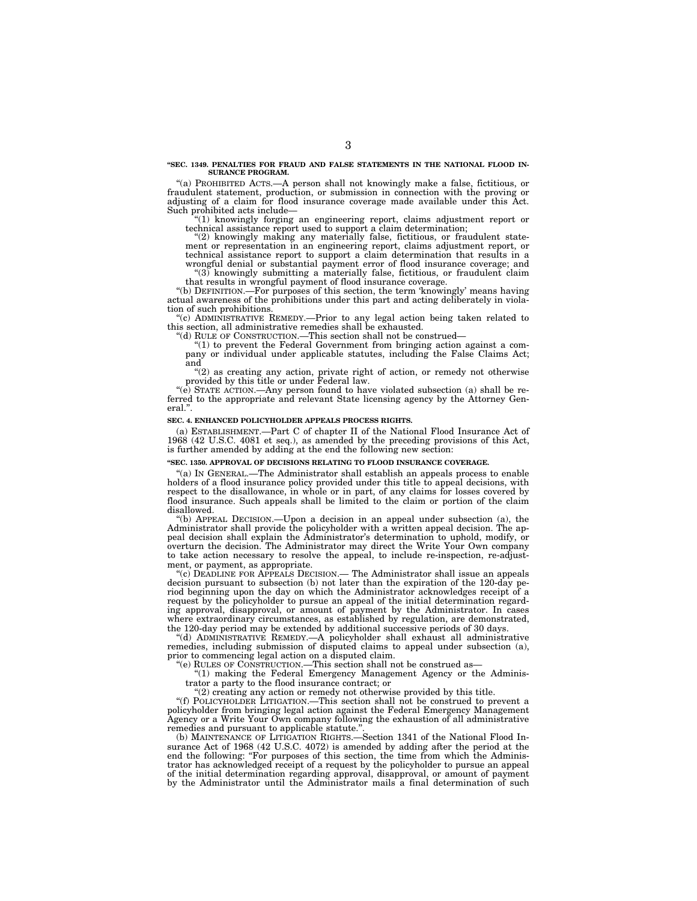#### **''SEC. 1349. PENALTIES FOR FRAUD AND FALSE STATEMENTS IN THE NATIONAL FLOOD IN-SURANCE PROGRAM.**

''(a) PROHIBITED ACTS.—A person shall not knowingly make a false, fictitious, or fraudulent statement, production, or submission in connection with the proving or adjusting of a claim for flood insurance coverage made available under this Act. Such prohibited acts include—

 $(1)$  knowingly forging an engineering report, claims adjustment report or technical assistance report used to support a claim determination;

''(2) knowingly making any materially false, fictitious, or fraudulent statement or representation in an engineering report, claims adjustment report, or technical assistance report to support a claim determination that results in a wrongful denial or substantial payment error of flood insurance coverage; and

 $(3)$  knowingly submitting a materially false, fictitious, or fraudulent claim that results in wrongful payment of flood insurance coverage.

''(b) DEFINITION.—For purposes of this section, the term 'knowingly' means having actual awareness of the prohibitions under this part and acting deliberately in violation of such prohibitions.

''(c) ADMINISTRATIVE REMEDY.—Prior to any legal action being taken related to this section, all administrative remedies shall be exhausted.

''(d) RULE OF CONSTRUCTION.—This section shall not be construed—

 $!(1)$  to prevent the Federal Government from bringing action against a company or individual under applicable statutes, including the False Claims Act; and

''(2) as creating any action, private right of action, or remedy not otherwise provided by this title or under Federal law.

" $(e)$  STATE ACTION.—Any person found to have violated subsection (a) shall be referred to the appropriate and relevant State licensing agency by the Attorney General.''.

#### **SEC. 4. ENHANCED POLICYHOLDER APPEALS PROCESS RIGHTS.**

(a) ESTABLISHMENT.—Part C of chapter II of the National Flood Insurance Act of 1968 (42 U.S.C. 4081 et seq.), as amended by the preceding provisions of this Act, is further amended by adding at the end the following new section:

#### **''SEC. 1350. APPROVAL OF DECISIONS RELATING TO FLOOD INSURANCE COVERAGE.**

"(a) IN GENERAL.—The Administrator shall establish an appeals process to enable holders of a flood insurance policy provided under this title to appeal decisions, with respect to the disallowance, in whole or in part, of any claims for losses covered by flood insurance. Such appeals shall be limited to the claim or portion of the claim disallowed.

''(b) APPEAL DECISION.—Upon a decision in an appeal under subsection (a), the Administrator shall provide the policyholder with a written appeal decision. The appeal decision shall explain the Administrator's determination to uphold, modify, or overturn the decision. The Administrator may direct the Write Your Own company to take action necessary to resolve the appeal, to include re-inspection, re-adjustment, or payment, as appropriate.

''(c) DEADLINE FOR APPEALS DECISION.— The Administrator shall issue an appeals decision pursuant to subsection (b) not later than the expiration of the 120-day period beginning upon the day on which the Administrator acknowledges receipt of a request by the policyholder to pursue an appeal of the initial determination regarding approval, disapproval, or amount of payment by the Administrator. In cases where extraordinary circumstances, as established by regulation, are demonstrated, the 120-day period may be extended by additional successive periods of 30 days.

''(d) ADMINISTRATIVE REMEDY.—A policyholder shall exhaust all administrative remedies, including submission of disputed claims to appeal under subsection (a), prior to commencing legal action on a disputed claim.

''(e) RULES OF CONSTRUCTION.—This section shall not be construed as—

''(1) making the Federal Emergency Management Agency or the Administrator a party to the flood insurance contract; or

''(2) creating any action or remedy not otherwise provided by this title.

''(f) POLICYHOLDER LITIGATION.—This section shall not be construed to prevent a policyholder from bringing legal action against the Federal Emergency Management Agency or a Write Your Own company following the exhaustion of all administrative remedies and pursuant to applicable statute."

(b) MAINTENANCE OF LITIGATION RIGHTS.—Section 1341 of the National Flood Insurance Act of 1968 (42 U.S.C. 4072) is amended by adding after the period at the end the following: "For purposes of this section, the time from which the Administrator has acknowledged receipt of a request by the policyholder to pursue an appeal of the initial determination regarding approval, disapproval, or amount of payment by the Administrator until the Administrator mails a final determination of such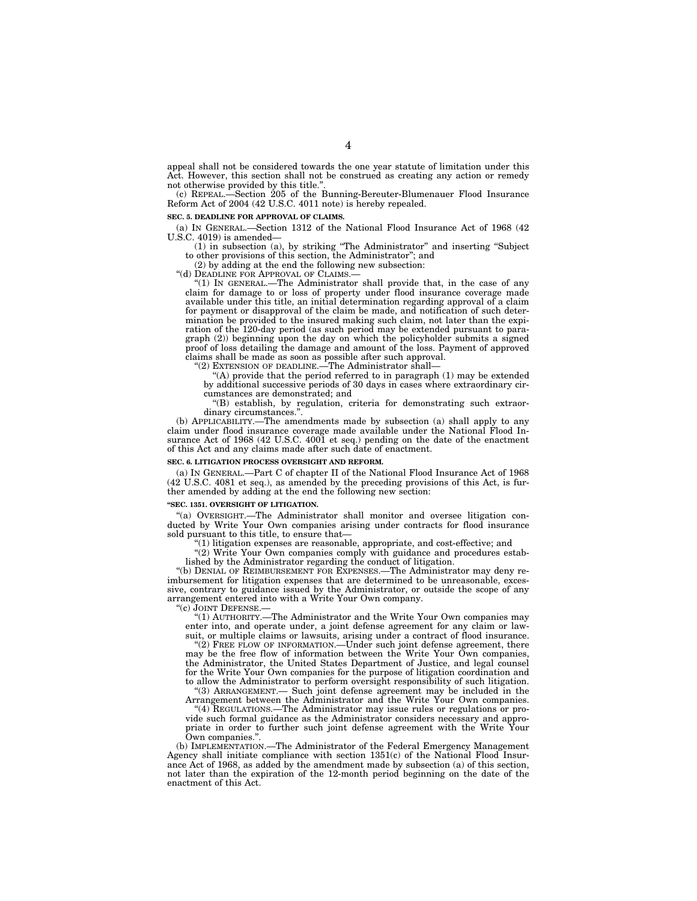appeal shall not be considered towards the one year statute of limitation under this Act. However, this section shall not be construed as creating any action or remedy not otherwise provided by this title.'

(c) REPEAL.—Section 205 of the Bunning-Bereuter-Blumenauer Flood Insurance Reform Act of 2004 (42 U.S.C. 4011 note) is hereby repealed.

#### **SEC. 5. DEADLINE FOR APPROVAL OF CLAIMS.**

(a) IN GENERAL.—Section 1312 of the National Flood Insurance Act of 1968 (42 U.S.C. 4019) is amended—

(1) in subsection (a), by striking ''The Administrator'' and inserting ''Subject to other provisions of this section, the Administrator''; and

(2) by adding at the end the following new subsection:

''(d) DEADLINE FOR APPROVAL OF CLAIMS.—

''(1) IN GENERAL.—The Administrator shall provide that, in the case of any claim for damage to or loss of property under flood insurance coverage made available under this title, an initial determination regarding approval of a claim for payment or disapproval of the claim be made, and notification of such determination be provided to the insured making such claim, not later than the expiration of the 120-day period (as such period may be extended pursuant to paragraph (2)) beginning upon the day on which the policyholder submits a signed proof of loss detailing the damage and amount of the loss. Payment of approved claims shall be made as soon as possible after such approval.

''(2) EXTENSION OF DEADLINE.—The Administrator shall—

''(A) provide that the period referred to in paragraph (1) may be extended by additional successive periods of 30 days in cases where extraordinary circumstances are demonstrated; and

''(B) establish, by regulation, criteria for demonstrating such extraordinary circumstances.''.

(b) APPLICABILITY.—The amendments made by subsection (a) shall apply to any claim under flood insurance coverage made available under the National Flood Insurance Act of 1968 (42 U.S.C. 4001 et seq.) pending on the date of the enactment of this Act and any claims made after such date of enactment.

#### **SEC. 6. LITIGATION PROCESS OVERSIGHT AND REFORM.**

(a) IN GENERAL.—Part C of chapter II of the National Flood Insurance Act of 1968 (42 U.S.C. 4081 et seq.), as amended by the preceding provisions of this Act, is further amended by adding at the end the following new section:

#### **''SEC. 1351. OVERSIGHT OF LITIGATION.**

''(a) OVERSIGHT.—The Administrator shall monitor and oversee litigation conducted by Write Your Own companies arising under contracts for flood insurance sold pursuant to this title, to ensure that—

''(1) litigation expenses are reasonable, appropriate, and cost-effective; and

"(2) Write Your Own companies comply with guidance and procedures established by the Administrator regarding the conduct of litigation.

''(b) DENIAL OF REIMBURSEMENT FOR EXPENSES.—The Administrator may deny reimbursement for litigation expenses that are determined to be unreasonable, excessive, contrary to guidance issued by the Administrator, or outside the scope of any arrangement entered into with a Write Your Own company.

''(c) JOINT DEFENSE.—

''(1) AUTHORITY.—The Administrator and the Write Your Own companies may enter into, and operate under, a joint defense agreement for any claim or lawsuit, or multiple claims or lawsuits, arising under a contract of flood insurance.

''(2) FREE FLOW OF INFORMATION.—Under such joint defense agreement, there may be the free flow of information between the Write Your Own companies, the Administrator, the United States Department of Justice, and legal counsel for the Write Your Own companies for the purpose of litigation coordination and to allow the Administrator to perform oversight responsibility of such litigation. ''(3) ARRANGEMENT.— Such joint defense agreement may be included in the

Arrangement between the Administrator and the Write Your Own companies. ''(4) REGULATIONS.—The Administrator may issue rules or regulations or provide such formal guidance as the Administrator considers necessary and appropriate in order to further such joint defense agreement with the Write Your

Own companies.''. (b) IMPLEMENTATION.—The Administrator of the Federal Emergency Management Agency shall initiate compliance with section 1351(c) of the National Flood Insurance Act of 1968, as added by the amendment made by subsection (a) of this section, not later than the expiration of the 12-month period beginning on the date of the enactment of this Act.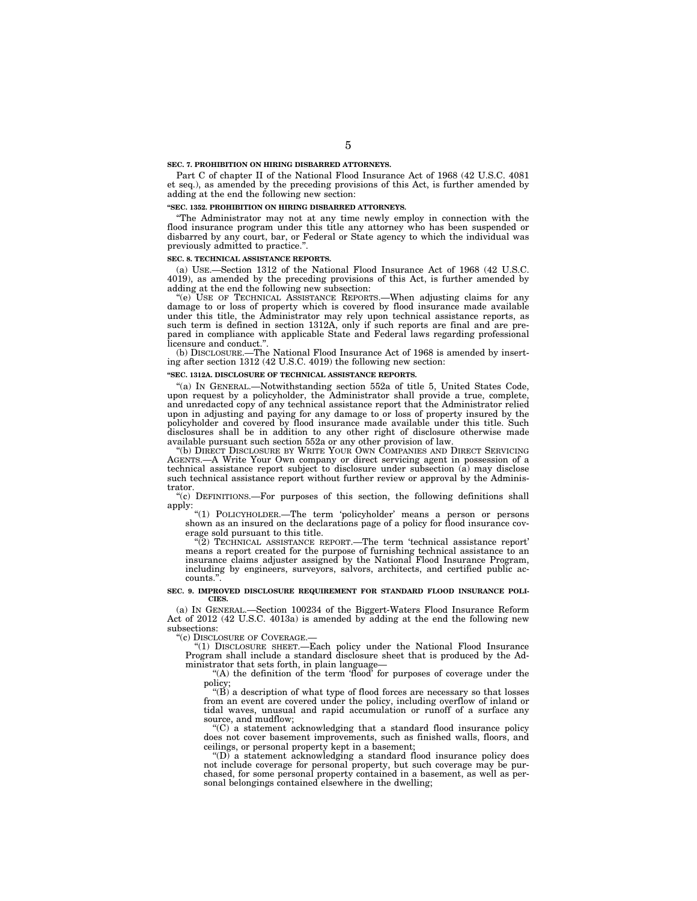#### **SEC. 7. PROHIBITION ON HIRING DISBARRED ATTORNEYS.**

Part C of chapter II of the National Flood Insurance Act of 1968 (42 U.S.C. 4081 et seq.), as amended by the preceding provisions of this Act, is further amended by adding at the end the following new section:

### **''SEC. 1352. PROHIBITION ON HIRING DISBARRED ATTORNEYS.**

''The Administrator may not at any time newly employ in connection with the flood insurance program under this title any attorney who has been suspended or disbarred by any court, bar, or Federal or State agency to which the individual was previously admitted to practice.''.

#### **SEC. 8. TECHNICAL ASSISTANCE REPORTS.**

(a) USE.—Section 1312 of the National Flood Insurance Act of 1968 (42 U.S.C. 4019), as amended by the preceding provisions of this Act, is further amended by adding at the end the following new subsection:

''(e) USE OF TECHNICAL ASSISTANCE REPORTS.—When adjusting claims for any damage to or loss of property which is covered by flood insurance made available under this title, the Administrator may rely upon technical assistance reports, as such term is defined in section 1312A, only if such reports are final and are prepared in compliance with applicable State and Federal laws regarding professional licensure and conduct.'

(b) DISCLOSURE.—The National Flood Insurance Act of 1968 is amended by inserting after section 1312 (42 U.S.C. 4019) the following new section:

#### **''SEC. 1312A. DISCLOSURE OF TECHNICAL ASSISTANCE REPORTS.**

''(a) IN GENERAL.—Notwithstanding section 552a of title 5, United States Code, upon request by a policyholder, the Administrator shall provide a true, complete, and unredacted copy of any technical assistance report that the Administrator relied upon in adjusting and paying for any damage to or loss of property insured by the policyholder and covered by flood insurance made available under this title. Such disclosures shall be in addition to any other right of disclosure otherwise made available pursuant such section 552a or any other provision of law.

''(b) DIRECT DISCLOSURE BY WRITE YOUR OWN COMPANIES AND DIRECT SERVICING AGENTS.—A Write Your Own company or direct servicing agent in possession of a technical assistance report subject to disclosure under subsection (a) may disclose such technical assistance report without further review or approval by the Administrator.

''(c) DEFINITIONS.—For purposes of this section, the following definitions shall apply:

''(1) POLICYHOLDER.—The term 'policyholder' means a person or persons shown as an insured on the declarations page of a policy for flood insurance coverage sold pursuant to this title.

''(2) TECHNICAL ASSISTANCE REPORT.—The term 'technical assistance report' means a report created for the purpose of furnishing technical assistance to an insurance claims adjuster assigned by the National Flood Insurance Program, including by engineers, surveyors, salvors, architects, and certified public accounts.'

#### **SEC. 9. IMPROVED DISCLOSURE REQUIREMENT FOR STANDARD FLOOD INSURANCE POLI-CIES.**

(a) IN GENERAL.—Section 100234 of the Biggert-Waters Flood Insurance Reform Act of 2012 (42 U.S.C. 4013a) is amended by adding at the end the following new subsections:

''(c) DISCLOSURE OF COVERAGE.—

''(1) DISCLOSURE SHEET.—Each policy under the National Flood Insurance Program shall include a standard disclosure sheet that is produced by the Administrator that sets forth, in plain language—

''(A) the definition of the term 'flood' for purposes of coverage under the policy;

" $(\vec{B})$  a description of what type of flood forces are necessary so that losses from an event are covered under the policy, including overflow of inland or tidal waves, unusual and rapid accumulation or runoff of a surface any source, and mudflow;

''(C) a statement acknowledging that a standard flood insurance policy does not cover basement improvements, such as finished walls, floors, and ceilings, or personal property kept in a basement;

''(D) a statement acknowledging a standard flood insurance policy does not include coverage for personal property, but such coverage may be purchased, for some personal property contained in a basement, as well as personal belongings contained elsewhere in the dwelling;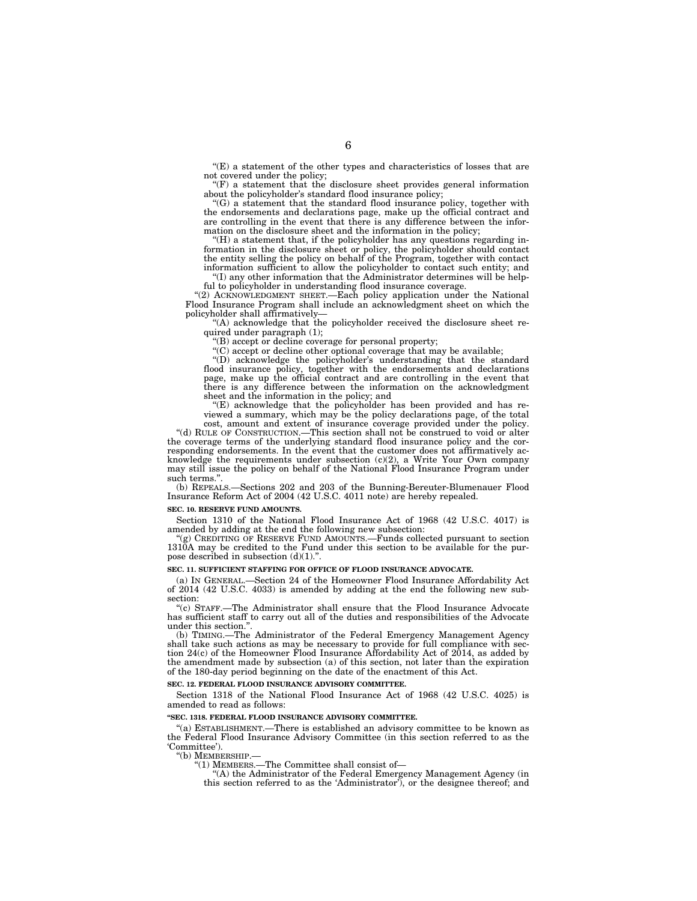''(E) a statement of the other types and characteristics of losses that are not covered under the policy;

 $f(F)$  a statement that the disclosure sheet provides general information about the policyholder's standard flood insurance policy;

''(G) a statement that the standard flood insurance policy, together with the endorsements and declarations page, make up the official contract and are controlling in the event that there is any difference between the information on the disclosure sheet and the information in the policy;

 $H(H)$  a statement that, if the policyholder has any questions regarding information in the disclosure sheet or policy, the policyholder should contact the entity selling the policy on behalf of the Program, together with contact information sufficient to allow the policyholder to contact such entity; and

 $f(T)$  any other information that the Administrator determines will be helpful to policyholder in understanding flood insurance coverage.

''(2) ACKNOWLEDGMENT SHEET.—Each policy application under the National Flood Insurance Program shall include an acknowledgment sheet on which the policyholder shall affirmatively—

''(A) acknowledge that the policyholder received the disclosure sheet required under paragraph (1);

''(B) accept or decline coverage for personal property;

''(C) accept or decline other optional coverage that may be available;

''(D) acknowledge the policyholder's understanding that the standard flood insurance policy, together with the endorsements and declarations page, make up the official contract and are controlling in the event that there is any difference between the information on the acknowledgment sheet and the information in the policy; and

''(E) acknowledge that the policyholder has been provided and has reviewed a summary, which may be the policy declarations page, of the total cost, amount and extent of insurance coverage provided under the policy.

''(d) RULE OF CONSTRUCTION.—This section shall not be construed to void or alter the coverage terms of the underlying standard flood insurance policy and the corresponding endorsements. In the event that the customer does not affirmatively acknowledge the requirements under subsection  $(c)(2)$ , a Write Your Own company may still issue the policy on behalf of the National Flood Insurance Program under such terms.''.

(b) REPEALS.—Sections 202 and 203 of the Bunning-Bereuter-Blumenauer Flood Insurance Reform Act of 2004 (42 U.S.C. 4011 note) are hereby repealed.

#### **SEC. 10. RESERVE FUND AMOUNTS.**

Section 1310 of the National Flood Insurance Act of 1968 (42 U.S.C. 4017) is amended by adding at the end the following new subsection:

''(g) CREDITING OF RESERVE FUND AMOUNTS.—Funds collected pursuant to section 1310A may be credited to the Fund under this section to be available for the purpose described in subsection (d)(1).".

#### **SEC. 11. SUFFICIENT STAFFING FOR OFFICE OF FLOOD INSURANCE ADVOCATE.**

(a) IN GENERAL.—Section 24 of the Homeowner Flood Insurance Affordability Act of 2014 (42 U.S.C. 4033) is amended by adding at the end the following new subsection:

''(c) STAFF.—The Administrator shall ensure that the Flood Insurance Advocate has sufficient staff to carry out all of the duties and responsibilities of the Advocate under this section.'

(b) TIMING.—The Administrator of the Federal Emergency Management Agency shall take such actions as may be necessary to provide for full compliance with section 24(c) of the Homeowner Flood Insurance Affordability Act of 2014, as added by the amendment made by subsection (a) of this section, not later than the expiration of the 180-day period beginning on the date of the enactment of this Act.

#### **SEC. 12. FEDERAL FLOOD INSURANCE ADVISORY COMMITTEE.**

Section 1318 of the National Flood Insurance Act of 1968 (42 U.S.C. 4025) is amended to read as follows:

#### **''SEC. 1318. FEDERAL FLOOD INSURANCE ADVISORY COMMITTEE.**

''(a) ESTABLISHMENT.—There is established an advisory committee to be known as the Federal Flood Insurance Advisory Committee (in this section referred to as the 'Committee').

''(b) MEMBERSHIP.—

''(1) MEMBERS.—The Committee shall consist of—

''(A) the Administrator of the Federal Emergency Management Agency (in this section referred to as the 'Administrator'), or the designee thereof; and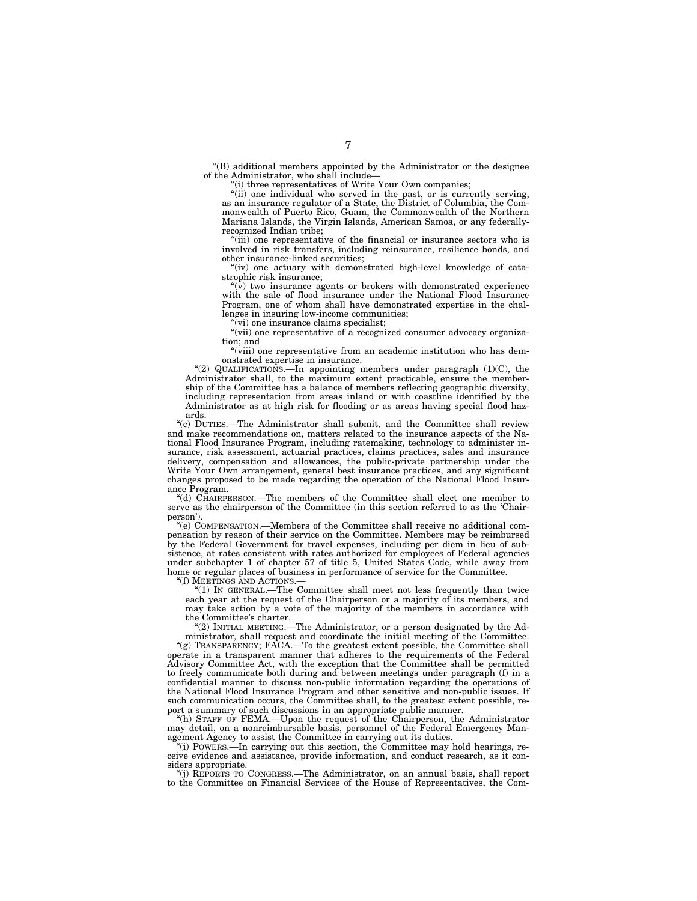''(B) additional members appointed by the Administrator or the designee of the Administrator, who shall include—

 $'$ (i) three representatives of Write Your Own companies;

"(ii) one individual who served in the past, or is currently serving, as an insurance regulator of a State, the District of Columbia, the Commonwealth of Puerto Rico, Guam, the Commonwealth of the Northern Mariana Islands, the Virgin Islands, American Samoa, or any federallyrecognized Indian tribe;

''(iii) one representative of the financial or insurance sectors who is involved in risk transfers, including reinsurance, resilience bonds, and other insurance-linked securities;

 $f(iy)$  one actuary with demonstrated high-level knowledge of catastrophic risk insurance;

 $\mathcal{L}(\mathbf{v})$  two insurance agents or brokers with demonstrated experience with the sale of flood insurance under the National Flood Insurance Program, one of whom shall have demonstrated expertise in the challenges in insuring low-income communities;

 $\sqrt[n]{v}$  one insurance claims specialist;

"(vii) one representative of a recognized consumer advocacy organization; and

"(viii) one representative from an academic institution who has demonstrated expertise in insurance.

"(2) QUALIFICATIONS.—In appointing members under paragraph  $(1)(C)$ , the Administrator shall, to the maximum extent practicable, ensure the membership of the Committee has a balance of members reflecting geographic diversity, including representation from areas inland or with coastline identified by the Administrator as at high risk for flooding or as areas having special flood hazards.

"(c) DUTIES.—The Administrator shall submit, and the Committee shall review and make recommendations on, matters related to the insurance aspects of the National Flood Insurance Program, including ratemaking, technology to administer insurance, risk assessment, actuarial practices, claims practices, sales and insurance delivery, compensation and allowances, the public-private partnership under the Write Your Own arrangement, general best insurance practices, and any significant changes proposed to be made regarding the operation of the National Flood Insurance Program.

''(d) CHAIRPERSON.—The members of the Committee shall elect one member to serve as the chairperson of the Committee (in this section referred to as the 'Chairperson').

''(e) COMPENSATION.—Members of the Committee shall receive no additional compensation by reason of their service on the Committee. Members may be reimbursed by the Federal Government for travel expenses, including per diem in lieu of subsistence, at rates consistent with rates authorized for employees of Federal agencies under subchapter 1 of chapter 57 of title 5, United States Code, while away from home or regular places of business in performance of service for the Committee.

''(f) MEETINGS AND ACTIONS.—

<sup>11</sup>(1) IN GENERAL.—The Committee shall meet not less frequently than twice each year at the request of the Chairperson or a majority of its members, and may take action by a vote of the majority of the members in accordance with the Committee's charter.

" $(2)$  INITIAL MEETING.—The Administrator, or a person designated by the Administrator, shall request and coordinate the initial meeting of the Committee.

"(g) TRANSPARENCY; FACA.—To the greatest extent possible, the Committee shall operate in a transparent manner that adheres to the requirements of the Federal Advisory Committee Act, with the exception that the Committee shall be permitted to freely communicate both during and between meetings under paragraph (f) in a confidential manner to discuss non-public information regarding the operations of the National Flood Insurance Program and other sensitive and non-public issues. If such communication occurs, the Committee shall, to the greatest extent possible, report a summary of such discussions in an appropriate public manner.

''(h) STAFF OF FEMA.—Upon the request of the Chairperson, the Administrator may detail, on a nonreimbursable basis, personnel of the Federal Emergency Management Agency to assist the Committee in carrying out its duties.

''(i) POWERS.—In carrying out this section, the Committee may hold hearings, receive evidence and assistance, provide information, and conduct research, as it considers appropriate.

''(j) REPORTS TO CONGRESS.—The Administrator, on an annual basis, shall report to the Committee on Financial Services of the House of Representatives, the Com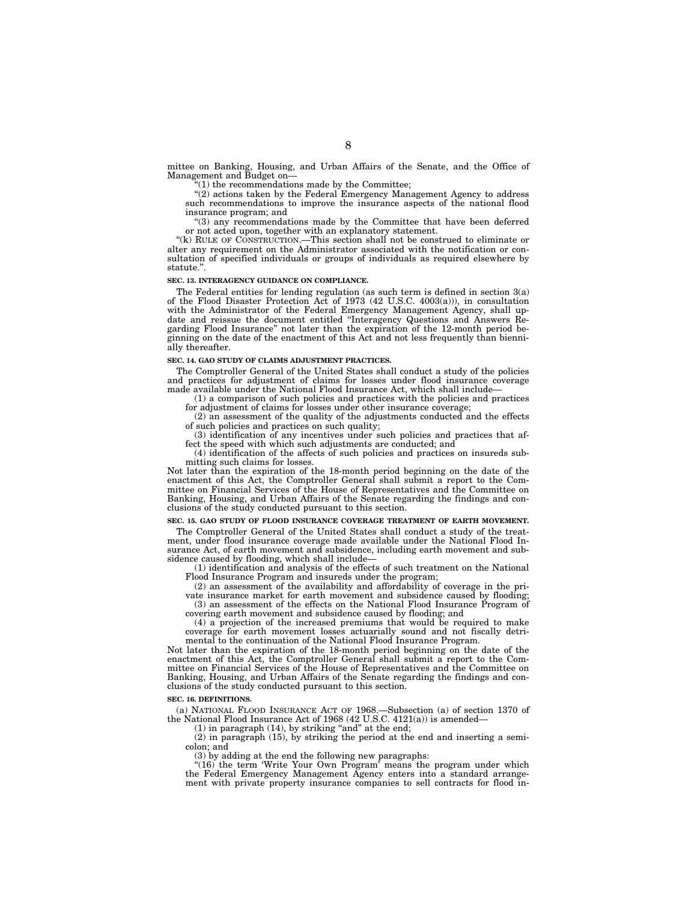mittee on Banking, Housing, and Urban Affairs of the Senate, and the Office of Management and Budget on—

 $(1)$  the recommendations made by the Committee;

"(2) actions taken by the Federal Emergency Management Agency to address such recommendations to improve the insurance aspects of the national flood insurance program; and

''(3) any recommendations made by the Committee that have been deferred or not acted upon, together with an explanatory statement.

''(k) RULE OF CONSTRUCTION.—This section shall not be construed to eliminate or alter any requirement on the Administrator associated with the notification or consultation of specified individuals or groups of individuals as required elsewhere by statute."

#### **SEC. 13. INTERAGENCY GUIDANCE ON COMPLIANCE.**

The Federal entities for lending regulation (as such term is defined in section 3(a) of the Flood Disaster Protection Act of 1973 (42 U.S.C. 4003(a))), in consultation with the Administrator of the Federal Emergency Management Agency, shall update and reissue the document entitled "Interagency Questions and Answers Regarding Flood Insurance'' not later than the expiration of the 12-month period beginning on the date of the enactment of this Act and not less frequently than biennially thereafter.

#### **SEC. 14. GAO STUDY OF CLAIMS ADJUSTMENT PRACTICES.**

The Comptroller General of the United States shall conduct a study of the policies and practices for adjustment of claims for losses under flood insurance coverage made available under the National Flood Insurance Act, which shall include—

(1) a comparison of such policies and practices with the policies and practices for adjustment of claims for losses under other insurance coverage;

(2) an assessment of the quality of the adjustments conducted and the effects of such policies and practices on such quality;

(3) identification of any incentives under such policies and practices that affect the speed with which such adjustments are conducted; and

(4) identification of the affects of such policies and practices on insureds submitting such claims for losses.

Not later than the expiration of the 18-month period beginning on the date of the enactment of this Act, the Comptroller General shall submit a report to the Committee on Financial Services of the House of Representatives and the Committee on Banking, Housing, and Urban Affairs of the Senate regarding the findings and conclusions of the study conducted pursuant to this section.

# **SEC. 15. GAO STUDY OF FLOOD INSURANCE COVERAGE TREATMENT OF EARTH MOVEMENT.**

The Comptroller General of the United States shall conduct a study of the treatment, under flood insurance coverage made available under the National Flood Insurance Act, of earth movement and subsidence, including earth movement and subsidence caused by flooding, which shall include—

(1) identification and analysis of the effects of such treatment on the National Flood Insurance Program and insureds under the program;

(2) an assessment of the availability and affordability of coverage in the private insurance market for earth movement and subsidence caused by flooding; (3) an assessment of the effects on the National Flood Insurance Program of

covering earth movement and subsidence caused by flooding; and (4) a projection of the increased premiums that would be required to make

coverage for earth movement losses actuarially sound and not fiscally detrimental to the continuation of the National Flood Insurance Program.

Not later than the expiration of the 18-month period beginning on the date of the enactment of this Act, the Comptroller General shall submit a report to the Committee on Financial Services of the House of Representatives and the Committee on Banking, Housing, and Urban Affairs of the Senate regarding the findings and conclusions of the study conducted pursuant to this section.

### **SEC. 16. DEFINITIONS.**

(a) NATIONAL FLOOD INSURANCE ACT OF 1968.—Subsection (a) of section 1370 of the National Flood Insurance Act of 1968  $(42 \text{ U.S.C. } 4121(a))$  is amended—

 $(1)$  in paragraph  $(14)$ , by striking "and" at the end;

(2) in paragraph (15), by striking the period at the end and inserting a semicolon; and

(3) by adding at the end the following new paragraphs:

"(16) the term 'Write Your Own Program' means the program under which the Federal Emergency Management Agency enters into a standard arrangement with private property insurance companies to sell contracts for flood in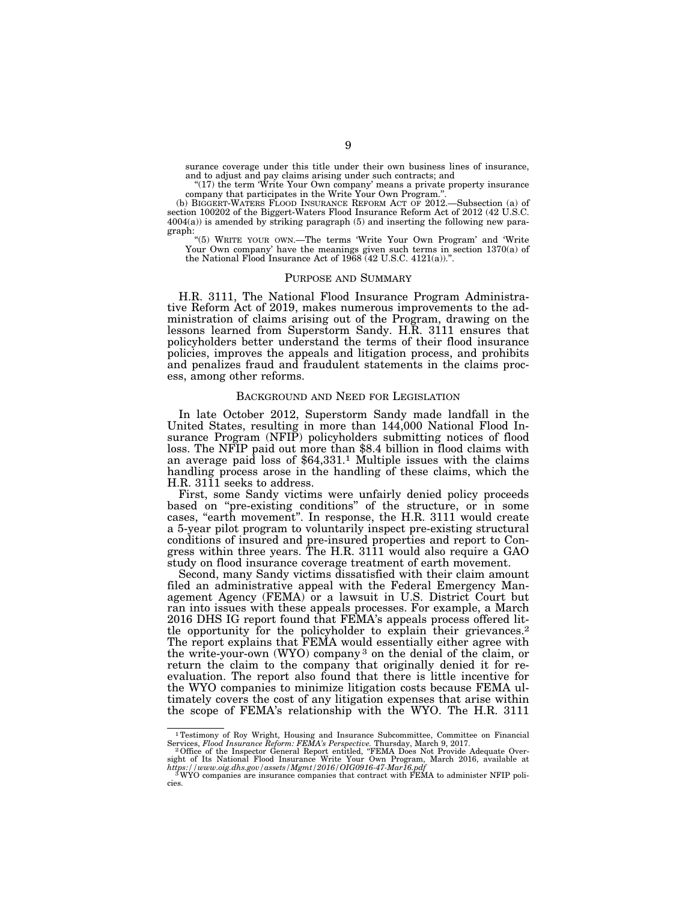surance coverage under this title under their own business lines of insurance, and to adjust and pay claims arising under such contracts; and

"(17) the term 'Write Your Own company' means a private property insurance company that participates in the Write Your Own Program.''.

(b) BIGGERT-WATERS FLOOD INSURANCE REFORM ACT OF 2012.—Subsection (a) of section 100202 of the Biggert-Waters Flood Insurance Reform Act of 2012 (42 U.S.C.  $4004(a)$ ) is amended by striking paragraph (5) and inserting the following new paragraph:

''(5) WRITE YOUR OWN.—The terms 'Write Your Own Program' and 'Write Your Own company' have the meanings given such terms in section 1370(a) of the National Flood Insurance Act of 1968 (42 U.S.C. 4121(a)).''.

#### PURPOSE AND SUMMARY

H.R. 3111, The National Flood Insurance Program Administrative Reform Act of 2019, makes numerous improvements to the administration of claims arising out of the Program, drawing on the lessons learned from Superstorm Sandy. H.R. 3111 ensures that policyholders better understand the terms of their flood insurance policies, improves the appeals and litigation process, and prohibits and penalizes fraud and fraudulent statements in the claims process, among other reforms.

#### BACKGROUND AND NEED FOR LEGISLATION

In late October 2012, Superstorm Sandy made landfall in the United States, resulting in more than 144,000 National Flood Insurance Program (NFIP) policyholders submitting notices of flood loss. The NFIP paid out more than \$8.4 billion in flood claims with an average paid loss of \$64,331.1 Multiple issues with the claims handling process arose in the handling of these claims, which the H.R. 3111 seeks to address.

First, some Sandy victims were unfairly denied policy proceeds based on ''pre-existing conditions'' of the structure, or in some cases, ''earth movement''. In response, the H.R. 3111 would create a 5-year pilot program to voluntarily inspect pre-existing structural conditions of insured and pre-insured properties and report to Congress within three years. The H.R. 3111 would also require a GAO study on flood insurance coverage treatment of earth movement.

Second, many Sandy victims dissatisfied with their claim amount filed an administrative appeal with the Federal Emergency Management Agency (FEMA) or a lawsuit in U.S. District Court but ran into issues with these appeals processes. For example, a March 2016 DHS IG report found that FEMA's appeals process offered little opportunity for the policyholder to explain their grievances.2 The report explains that FEMA would essentially either agree with the write-your-own (WYO) company 3 on the denial of the claim, or return the claim to the company that originally denied it for reevaluation. The report also found that there is little incentive for the WYO companies to minimize litigation costs because FEMA ultimately covers the cost of any litigation expenses that arise within the scope of FEMA's relationship with the WYO. The H.R. 3111

<sup>&</sup>lt;sup>1</sup>Testimony of Roy Wright, Housing and Insurance Subcommittee, Committee on Financial Services, *Flood Insurance Reform: FEMA's Perspective*. Thursday, March 9, 2017.<br><sup>2</sup> Office of the Inspector General Report entitled,

cies.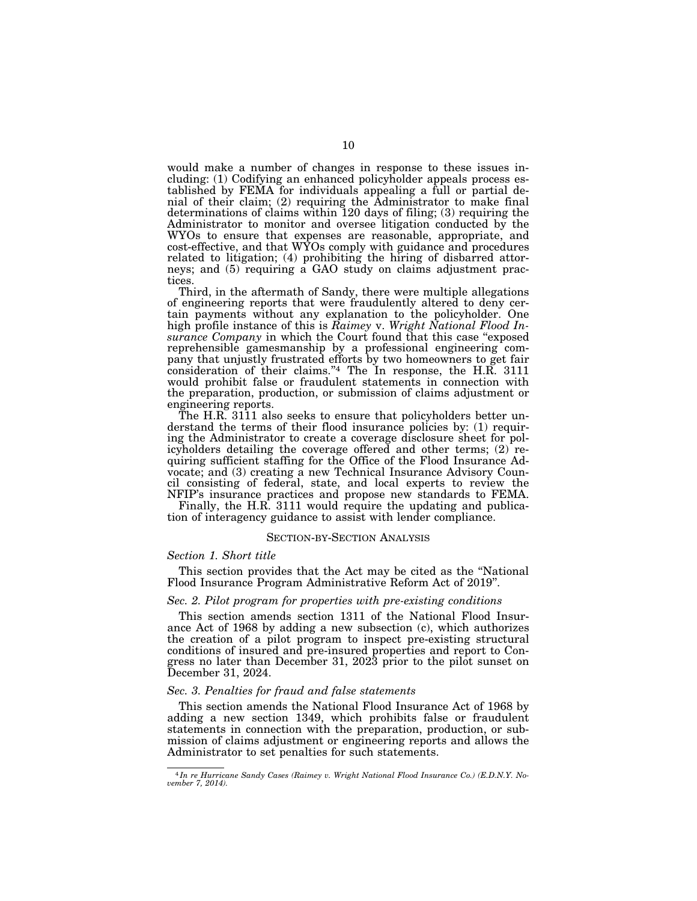would make a number of changes in response to these issues including: (1) Codifying an enhanced policyholder appeals process established by FEMA for individuals appealing a full or partial denial of their claim; (2) requiring the Administrator to make final determinations of claims within 120 days of filing; (3) requiring the Administrator to monitor and oversee litigation conducted by the WYOs to ensure that expenses are reasonable, appropriate, and cost-effective, and that WYOs comply with guidance and procedures related to litigation; (4) prohibiting the hiring of disbarred attorneys; and (5) requiring a GAO study on claims adjustment practices.

Third, in the aftermath of Sandy, there were multiple allegations of engineering reports that were fraudulently altered to deny certain payments without any explanation to the policyholder. One high profile instance of this is *Raimey* v. *Wright National Flood Insurance Company* in which the Court found that this case ''exposed reprehensible gamesmanship by a professional engineering company that unjustly frustrated efforts by two homeowners to get fair consideration of their claims."4 The In response, the H.R. 3111 would prohibit false or fraudulent statements in connection with the preparation, production, or submission of claims adjustment or engineering reports.

The H.R. 3111 also seeks to ensure that policyholders better understand the terms of their flood insurance policies by: (1) requiring the Administrator to create a coverage disclosure sheet for policyholders detailing the coverage offered and other terms; (2) requiring sufficient staffing for the Office of the Flood Insurance Advocate; and (3) creating a new Technical Insurance Advisory Council consisting of federal, state, and local experts to review the NFIP's insurance practices and propose new standards to FEMA.

Finally, the H.R. 3111 would require the updating and publication of interagency guidance to assist with lender compliance.

### SECTION-BY-SECTION ANALYSIS

### *Section 1. Short title*

This section provides that the Act may be cited as the ''National Flood Insurance Program Administrative Reform Act of 2019''.

# *Sec. 2. Pilot program for properties with pre-existing conditions*

This section amends section 1311 of the National Flood Insurance Act of 1968 by adding a new subsection (c), which authorizes the creation of a pilot program to inspect pre-existing structural conditions of insured and pre-insured properties and report to Congress no later than December 31, 2023 prior to the pilot sunset on December 31, 2024.

# *Sec. 3. Penalties for fraud and false statements*

This section amends the National Flood Insurance Act of 1968 by adding a new section 1349, which prohibits false or fraudulent statements in connection with the preparation, production, or submission of claims adjustment or engineering reports and allows the Administrator to set penalties for such statements.

<sup>4</sup> *In re Hurricane Sandy Cases (Raimey v. Wright National Flood Insurance Co.) (E.D.N.Y. November 7, 2014).*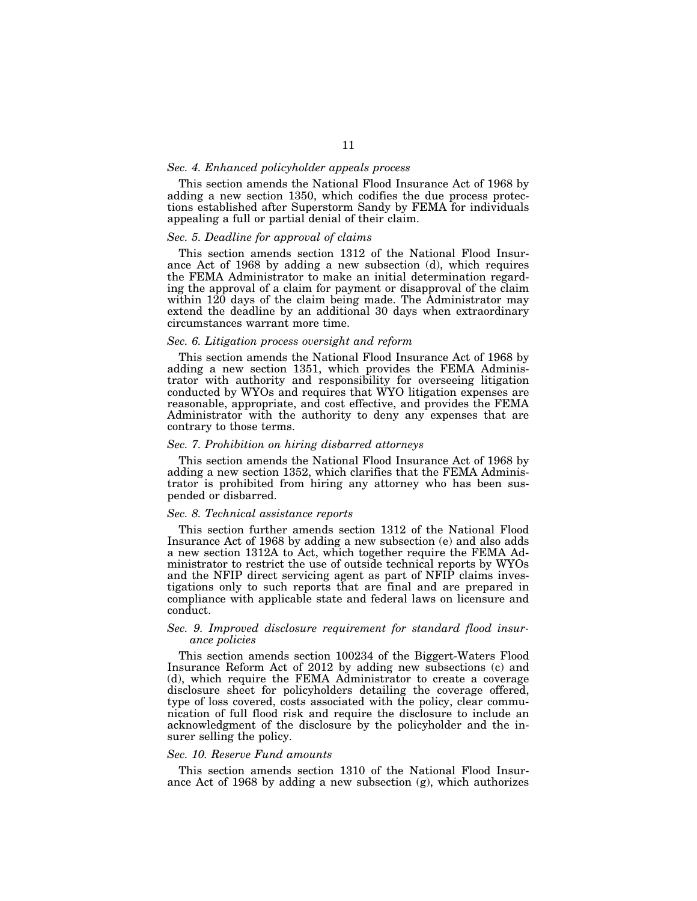### *Sec. 4. Enhanced policyholder appeals process*

This section amends the National Flood Insurance Act of 1968 by adding a new section 1350, which codifies the due process protections established after Superstorm Sandy by FEMA for individuals appealing a full or partial denial of their claim.

# *Sec. 5. Deadline for approval of claims*

This section amends section 1312 of the National Flood Insurance Act of 1968 by adding a new subsection (d), which requires the FEMA Administrator to make an initial determination regarding the approval of a claim for payment or disapproval of the claim within 120 days of the claim being made. The Administrator may extend the deadline by an additional 30 days when extraordinary circumstances warrant more time.

#### *Sec. 6. Litigation process oversight and reform*

This section amends the National Flood Insurance Act of 1968 by adding a new section 1351, which provides the FEMA Administrator with authority and responsibility for overseeing litigation conducted by WYOs and requires that WYO litigation expenses are reasonable, appropriate, and cost effective, and provides the FEMA Administrator with the authority to deny any expenses that are contrary to those terms.

### *Sec. 7. Prohibition on hiring disbarred attorneys*

This section amends the National Flood Insurance Act of 1968 by adding a new section 1352, which clarifies that the FEMA Administrator is prohibited from hiring any attorney who has been suspended or disbarred.

# *Sec. 8. Technical assistance reports*

This section further amends section 1312 of the National Flood Insurance Act of 1968 by adding a new subsection (e) and also adds a new section 1312A to Act, which together require the FEMA Administrator to restrict the use of outside technical reports by WYOs and the NFIP direct servicing agent as part of NFIP claims investigations only to such reports that are final and are prepared in compliance with applicable state and federal laws on licensure and conduct.

# *Sec. 9. Improved disclosure requirement for standard flood insurance policies*

This section amends section 100234 of the Biggert-Waters Flood Insurance Reform Act of 2012 by adding new subsections (c) and (d), which require the FEMA Administrator to create a coverage disclosure sheet for policyholders detailing the coverage offered, type of loss covered, costs associated with the policy, clear communication of full flood risk and require the disclosure to include an acknowledgment of the disclosure by the policyholder and the insurer selling the policy.

### *Sec. 10. Reserve Fund amounts*

This section amends section 1310 of the National Flood Insurance Act of 1968 by adding a new subsection  $(g)$ , which authorizes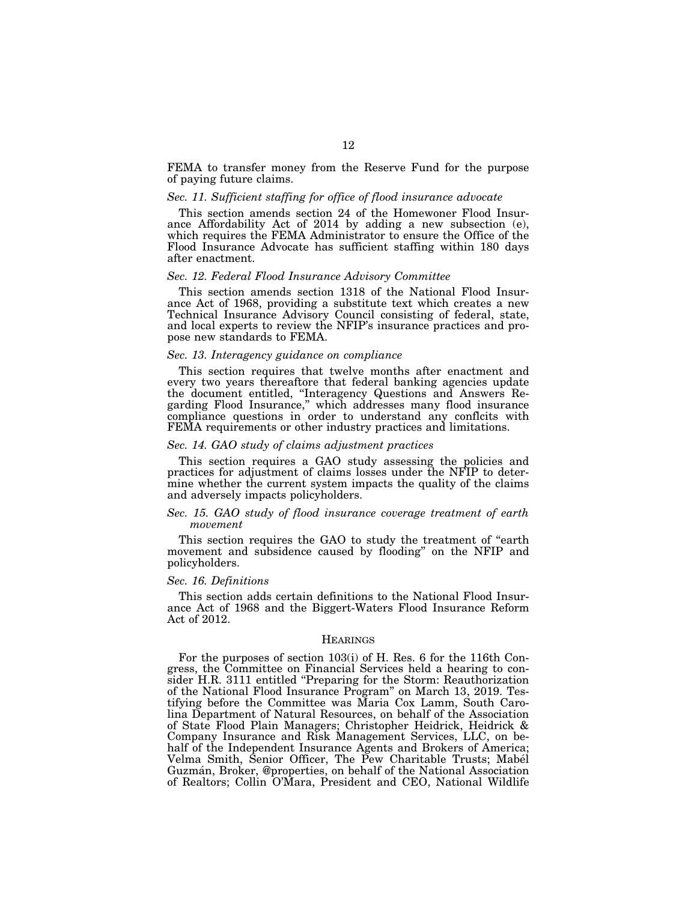FEMA to transfer money from the Reserve Fund for the purpose of paying future claims.

#### *Sec. 11. Sufficient staffing for office of flood insurance advocate*

This section amends section 24 of the Homewoner Flood Insurance Affordability Act of 2014 by adding a new subsection (e), which requires the FEMA Administrator to ensure the Office of the Flood Insurance Advocate has sufficient staffing within 180 days after enactment.

# *Sec. 12. Federal Flood Insurance Advisory Committee*

This section amends section 1318 of the National Flood Insurance Act of 1968, providing a substitute text which creates a new Technical Insurance Advisory Council consisting of federal, state, and local experts to review the NFIP's insurance practices and propose new standards to FEMA.

### *Sec. 13. Interagency guidance on compliance*

This section requires that twelve months after enactment and every two years thereaftore that federal banking agencies update the document entitled, ''Interagency Questions and Answers Regarding Flood Insurance,'' which addresses many flood insurance compliance questions in order to understand any conflcits with FEMA requirements or other industry practices and limitations.

### *Sec. 14. GAO study of claims adjustment practices*

This section requires a GAO study assessing the policies and practices for adjustment of claims losses under the NFIP to determine whether the current system impacts the quality of the claims and adversely impacts policyholders.

# *Sec. 15. GAO study of flood insurance coverage treatment of earth movement*

This section requires the GAO to study the treatment of "earth" movement and subsidence caused by flooding'' on the NFIP and policyholders.

# *Sec. 16. Definitions*

This section adds certain definitions to the National Flood Insurance Act of 1968 and the Biggert-Waters Flood Insurance Reform Act of 2012.

### **HEARINGS**

For the purposes of section 103(i) of H. Res. 6 for the 116th Congress, the Committee on Financial Services held a hearing to consider H.R. 3111 entitled "Preparing for the Storm: Reauthorization of the National Flood Insurance Program'' on March 13, 2019. Testifying before the Committee was Maria Cox Lamm, South Carolina Department of Natural Resources, on behalf of the Association of State Flood Plain Managers; Christopher Heidrick, Heidrick & Company Insurance and Risk Management Services, LLC, on behalf of the Independent Insurance Agents and Brokers of America; Velma Smith, Senior Officer, The Pew Charitable Trusts; Mabél Guzma´n, Broker, @properties, on behalf of the National Association of Realtors; Collin O'Mara, President and CEO, National Wildlife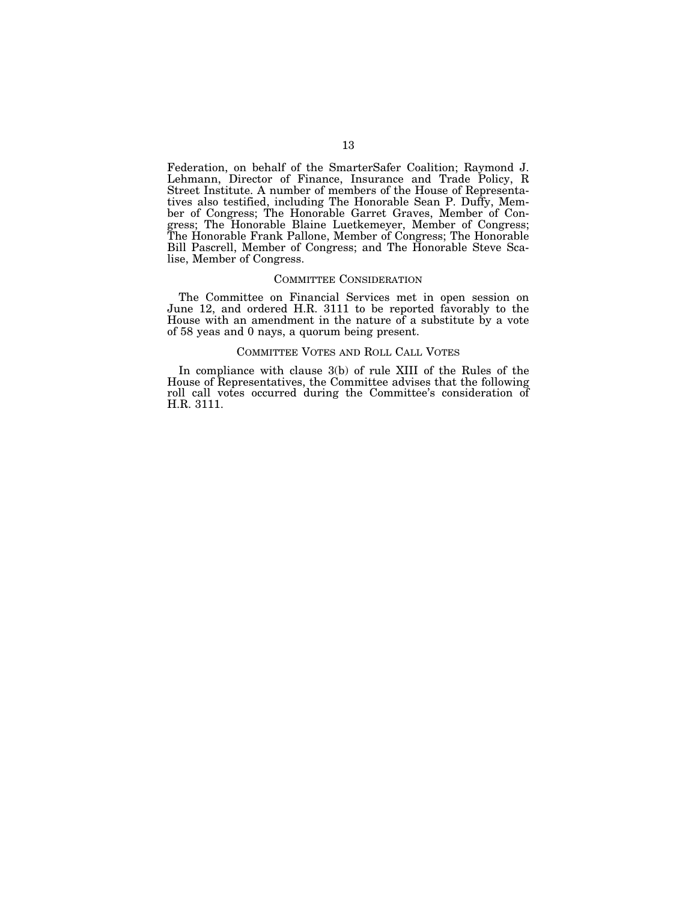Federation, on behalf of the SmarterSafer Coalition; Raymond J. Lehmann, Director of Finance, Insurance and Trade Policy, R Street Institute. A number of members of the House of Representatives also testified, including The Honorable Sean P. Duffy, Member of Congress; The Honorable Garret Graves, Member of Congress; The Honorable Blaine Luetkemeyer, Member of Congress; The Honorable Frank Pallone, Member of Congress; The Honorable Bill Pascrell, Member of Congress; and The Honorable Steve Scalise, Member of Congress.

#### COMMITTEE CONSIDERATION

The Committee on Financial Services met in open session on June 12, and ordered H.R. 3111 to be reported favorably to the House with an amendment in the nature of a substitute by a vote of 58 yeas and 0 nays, a quorum being present.

# COMMITTEE VOTES AND ROLL CALL VOTES

In compliance with clause 3(b) of rule XIII of the Rules of the House of Representatives, the Committee advises that the following roll call votes occurred during the Committee's consideration of H.R. 3111.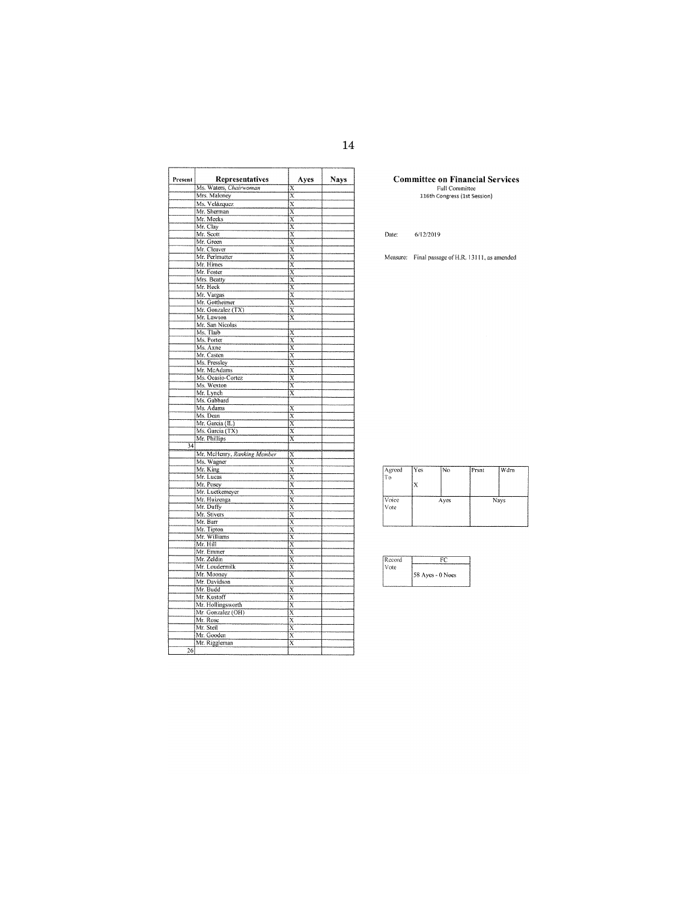| Present         | Representatives             | Ayes                                | Nays |
|-----------------|-----------------------------|-------------------------------------|------|
|                 | Ms. Waters, Chairwoman      | $\overline{\mathbf{x}}$             |      |
|                 | Mrs. Maloney                | $\overline{x}$                      |      |
|                 | Ms. Velázquez               |                                     |      |
|                 | Mr. Sherman                 | $\frac{\overline{X}}{\overline{X}}$ |      |
|                 | Mr. Meeks                   |                                     |      |
|                 | Mr. Clay                    | $\overline{x}$                      |      |
|                 | Mr. Scott                   | $\overline{\mathbf{x}}$             |      |
|                 | Mr. Green                   | $\overline{\mathbf{x}}$             |      |
|                 | Mr. Cleaver                 | $\overline{\mathbf{x}}$             |      |
|                 | Mr. Perlmutter              | $\overline{x}$                      |      |
|                 | Mr. Himes                   | $\overline{\mathbf{x}}$             |      |
|                 | Mr. Foster                  | $\overline{\mathbf{x}}$             |      |
|                 | Mrs. Beatty                 | $\overline{\text{x}}$               |      |
|                 | Mr. Heck                    | $\overline{\mathrm{x}}$             |      |
|                 | Mr. Vargas                  | $\overline{\mathbf{x}}$             |      |
|                 | Mr. Gottheimer              | Χ                                   |      |
|                 | Mr. Gonzalez (TX)           | $\bar{\text{x}}$                    |      |
|                 | Mr. Lawson                  | $\overline{\mathbf{x}}$             |      |
|                 | Mr. San Nicolas             |                                     |      |
|                 | Ms. Tlaib                   | X                                   |      |
|                 | Ms. Porter                  | Χ                                   |      |
|                 | Ms. Axne                    | $\overline{\mathbf{x}}$             |      |
|                 | Mr. Casten                  | $\overline{\mathbf{x}}$             |      |
|                 | Ms. Pressley                | $\overline{\mathbf{x}}$             |      |
|                 | Mr. McAdams                 | $\overline{\mathbf{x}}$             |      |
|                 | Ms. Ocasio-Cortez           | $\bar{\text{x}}$                    |      |
|                 | Ms. Wexton                  | $\overline{\mathbf{x}}$             |      |
|                 | Mr. Lynch                   | $\overline{\mathbf{x}}$             |      |
|                 | Ms. Gabbard                 |                                     |      |
|                 | Ms. Adams                   | X                                   |      |
|                 | Ms. Dean                    | $\overline{x}$                      |      |
|                 | Mr. Garcia (IL)             | $\overline{\mathrm{x}}$             |      |
|                 | Ms. Garcia (TX)             | Χ                                   |      |
|                 | Mr. Phillips                | $\overline{\mathbf{x}}$             |      |
| $\overline{34}$ |                             |                                     |      |
|                 | Mr. McHenry, Ranking Member | $\overline{\mathbf{x}}$             |      |
|                 | Ms. Wagner                  | $\bar{\text{x}}$                    |      |
|                 | Mr. King                    | $\overline{\text{x}}$               |      |
|                 | Mr. Lucas                   | $\overline{x}$                      |      |
|                 | Mr. Posey                   | $\overline{\text{x}}$               |      |
|                 | Mr. Luetkemeyer             | $\overline{\mathbf{x}}$             |      |
|                 | Mr. Huizenga                | X                                   |      |
|                 | Mr. Duffy                   | $\overline{\mathbf{x}}$             |      |
|                 | Mr. Stivers                 | $\overline{\mathbf{x}}$             |      |
|                 | Mr. Barr                    | $\overline{x}$                      |      |
|                 | Mr. Tipton                  | $\overline{\mathbf{x}}$             |      |
|                 | Mr. Williams                | $\overline{\mathbf{x}}$             |      |
|                 | Mr. Hill                    | $\overline{x}$                      |      |
|                 | Mr. Emmer                   |                                     |      |
|                 | Mr. Zeldin                  | $\frac{\overline{x}}{\overline{x}}$ |      |
|                 | Mr. Loudermilk              | $\overline{\mathbf{x}}$             |      |
|                 | Mr. Mooney                  | $\overline{\mathbf{x}}$             |      |
|                 | Mr. Davidson                | $\overline{x}$                      |      |
|                 | Mr. Budd                    | $\overline{x}$                      |      |
|                 |                             |                                     |      |
|                 | Mr. Kustoff                 | $\overline{\text{x}}$               |      |
|                 | Mr. Hollingsworth           | $\overline{\mathbf{x}}$             |      |
|                 | Mr. Gonzalez (OH)           | $\overline{\mathbf{x}}$             |      |
|                 | Mr. Rose                    | $\overline{x}$                      |      |
|                 | Mr. Steil                   | $\overline{\textbf{x}}$             |      |
|                 | Mr. Gooden                  | $\overline{\text{x}}$               |      |
|                 | Mr. Riggleman               | $\overline{\mathbf{x}}$             |      |
| 26              |                             |                                     |      |

**Committee on Financial Services**<br>Full Committee<br>116th Congress (1st Session)

Date: 6/12/2019

Measure: Final passage of H.R. 13111, as amended

| Agreed<br>To  | Yes | No   | Prsnt | Wdrn |
|---------------|-----|------|-------|------|
|               |     |      |       |      |
| Voice<br>Vote |     | Ayes |       | Nays |
|               |     |      |       |      |

| Record |                  |
|--------|------------------|
| Vote   |                  |
|        | 58 Ayes - 0 Noes |
|        |                  |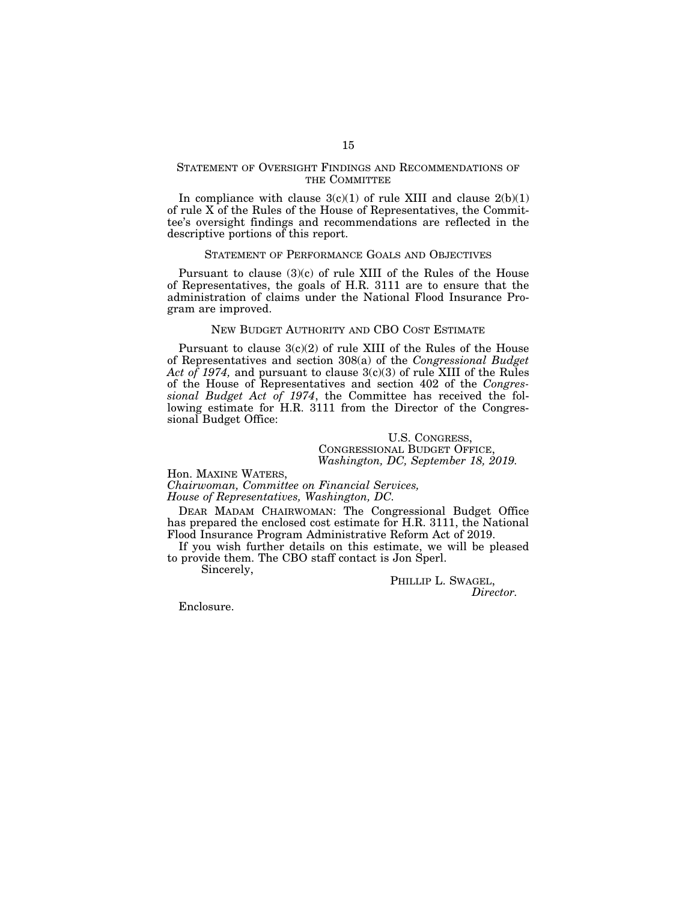# STATEMENT OF OVERSIGHT FINDINGS AND RECOMMENDATIONS OF THE COMMITTEE

In compliance with clause  $3(c)(1)$  of rule XIII and clause  $2(b)(1)$ of rule X of the Rules of the House of Representatives, the Committee's oversight findings and recommendations are reflected in the descriptive portions of this report.

### STATEMENT OF PERFORMANCE GOALS AND OBJECTIVES

Pursuant to clause  $(3)(c)$  of rule XIII of the Rules of the House of Representatives, the goals of H.R. 3111 are to ensure that the administration of claims under the National Flood Insurance Program are improved.

# NEW BUDGET AUTHORITY AND CBO COST ESTIMATE

Pursuant to clause 3(c)(2) of rule XIII of the Rules of the House of Representatives and section 308(a) of the *Congressional Budget Act of 1974,* and pursuant to clause 3(c)(3) of rule XIII of the Rules of the House of Representatives and section 402 of the *Congressional Budget Act of 1974*, the Committee has received the following estimate for H.R. 3111 from the Director of the Congressional Budget Office:

# U.S. CONGRESS, CONGRESSIONAL BUDGET OFFICE, *Washington, DC, September 18, 2019.*

Hon. MAXINE WATERS,

*Chairwoman, Committee on Financial Services, House of Representatives, Washington, DC.* 

DEAR MADAM CHAIRWOMAN: The Congressional Budget Office has prepared the enclosed cost estimate for H.R. 3111, the National Flood Insurance Program Administrative Reform Act of 2019.

If you wish further details on this estimate, we will be pleased to provide them. The CBO staff contact is Jon Sperl.

Sincerely,

PHILLIP L. SWAGEL, *Director.* 

Enclosure.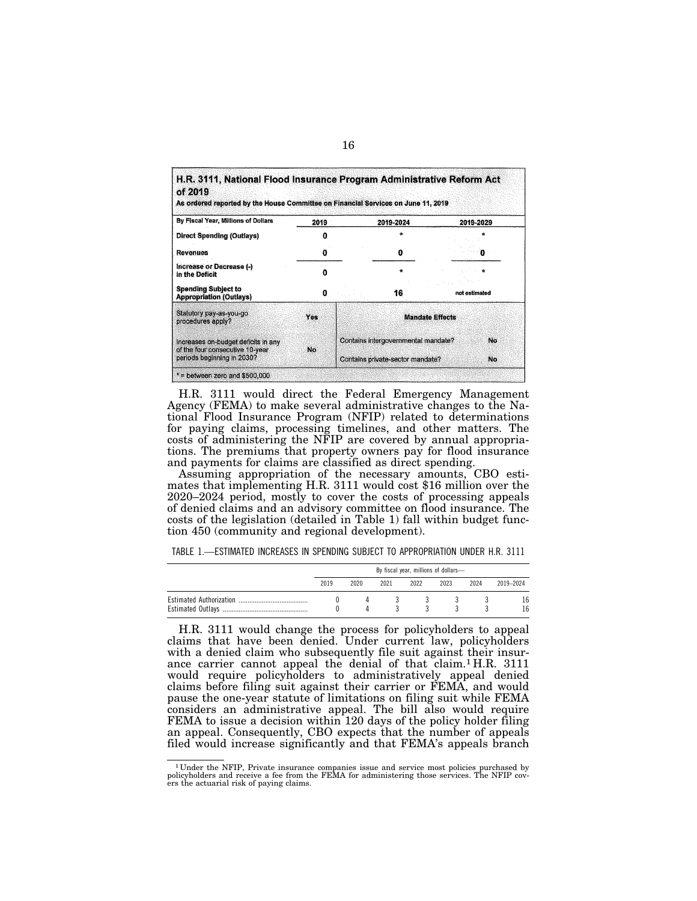| of 2019<br>As ordered reported by the House Committee on Financial Services on June 11, 2019 |            |                                     |                                  |                        |    |  |
|----------------------------------------------------------------------------------------------|------------|-------------------------------------|----------------------------------|------------------------|----|--|
| By Fiscal Year, Millions of Dollars                                                          | 2019       |                                     | 2019-2024                        | 2019-2029              |    |  |
| <b>Direct Spending (Outlays)</b>                                                             | Λ          |                                     |                                  |                        |    |  |
| <b>Revenues</b>                                                                              | Ð          |                                     | 0                                |                        |    |  |
| Increase or Decrease (-)<br>in the Deficit                                                   | Λ<br>0     |                                     | ÷                                |                        |    |  |
| <b>Spending Subject to</b><br><b>Appropriation (Outlays)</b>                                 |            |                                     | 16                               | not estimated          |    |  |
| Statutory pay-as-you-go<br>procedures apply?                                                 | <b>Yes</b> |                                     |                                  | <b>Mandate Effects</b> |    |  |
| Increases on-budget deficits in any<br>of the four consecutive 10-year                       | No         | Contains intergovernmental mandate? |                                  |                        | No |  |
| periods beginning in 2030?                                                                   |            |                                     | Contains private-sector mandate? |                        |    |  |

H.R. 3111 would direct the Federal Emergency Management Agency (FEMA) to make several administrative changes to the National Flood Insurance Program (NFIP) related to determinations for paying claims, processing timelines, and other matters. The costs of administering the NFIP are covered by annual appropriations. The premiums that property owners pay for flood insurance and payments for claims are classified as direct spending.

Assuming appropriation of the necessary amounts, CBO estimates that implementing H.R. 3111 would cost \$16 million over the 2020–2024 period, mostly to cover the costs of processing appeals of denied claims and an advisory committee on flood insurance. The costs of the legislation (detailed in Table 1) fall within budget function 450 (community and regional development).

TABLE 1.—ESTIMATED INCREASES IN SPENDING SUBJECT TO APPROPRIATION UNDER H.R. 3111

| By fiscal year, millions of dollars- |      |      |      |      |      |           |
|--------------------------------------|------|------|------|------|------|-----------|
| 2019                                 | 2020 | 2021 | 2022 | 2023 | 2024 | 2019-2024 |
|                                      |      |      |      |      |      | 16        |
|                                      |      |      |      |      |      | 16        |

H.R. 3111 would change the process for policyholders to appeal claims that have been denied. Under current law, policyholders with a denied claim who subsequently file suit against their insurance carrier cannot appeal the denial of that claim.<sup>1</sup> H.R. 3111 would require policyholders to administratively appeal denied claims before filing suit against their carrier or FEMA, and would pause the one-year statute of limitations on filing suit while FEMA considers an administrative appeal. The bill also would require FEMA to issue a decision within 120 days of the policy holder filing an appeal. Consequently, CBO expects that the number of appeals filed would increase significantly and that FEMA's appeals branch

 $1$  Under the NFIP, Private insurance companies issue and service most policies purchased by policyholders and receive a fee from the FEMA for administering those services. The NFIP covers the actuarial risk of paying cla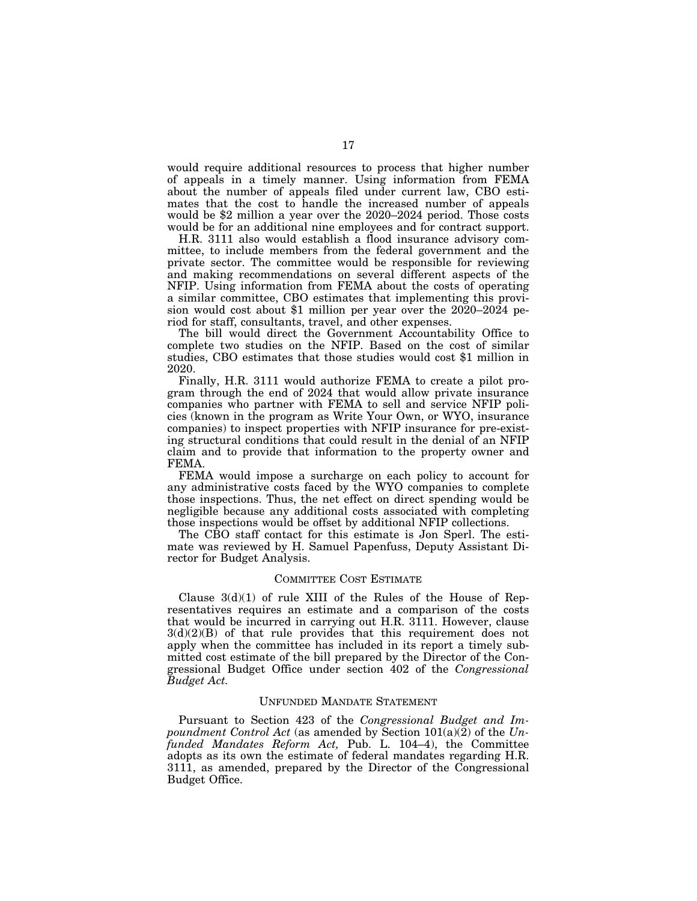would require additional resources to process that higher number of appeals in a timely manner. Using information from FEMA about the number of appeals filed under current law, CBO estimates that the cost to handle the increased number of appeals would be \$2 million a year over the 2020–2024 period. Those costs would be for an additional nine employees and for contract support.

H.R. 3111 also would establish a flood insurance advisory committee, to include members from the federal government and the private sector. The committee would be responsible for reviewing and making recommendations on several different aspects of the NFIP. Using information from FEMA about the costs of operating a similar committee, CBO estimates that implementing this provision would cost about \$1 million per year over the 2020–2024 period for staff, consultants, travel, and other expenses.

The bill would direct the Government Accountability Office to complete two studies on the NFIP. Based on the cost of similar studies, CBO estimates that those studies would cost \$1 million in 2020.

Finally, H.R. 3111 would authorize FEMA to create a pilot program through the end of 2024 that would allow private insurance companies who partner with FEMA to sell and service NFIP policies (known in the program as Write Your Own, or WYO, insurance companies) to inspect properties with NFIP insurance for pre-existing structural conditions that could result in the denial of an NFIP claim and to provide that information to the property owner and FEMA.

FEMA would impose a surcharge on each policy to account for any administrative costs faced by the WYO companies to complete those inspections. Thus, the net effect on direct spending would be negligible because any additional costs associated with completing those inspections would be offset by additional NFIP collections.

The CBO staff contact for this estimate is Jon Sperl. The estimate was reviewed by H. Samuel Papenfuss, Deputy Assistant Director for Budget Analysis.

### COMMITTEE COST ESTIMATE

Clause  $3(d)(1)$  of rule XIII of the Rules of the House of Representatives requires an estimate and a comparison of the costs that would be incurred in carrying out H.R. 3111. However, clause  $3(d)(2)(B)$  of that rule provides that this requirement does not apply when the committee has included in its report a timely submitted cost estimate of the bill prepared by the Director of the Congressional Budget Office under section 402 of the *Congressional Budget Act.* 

### UNFUNDED MANDATE STATEMENT

Pursuant to Section 423 of the *Congressional Budget and Impoundment Control Act* (as amended by Section 101(a)(2) of the *Unfunded Mandates Reform Act,* Pub. L. 104–4), the Committee adopts as its own the estimate of federal mandates regarding H.R. 3111, as amended, prepared by the Director of the Congressional Budget Office.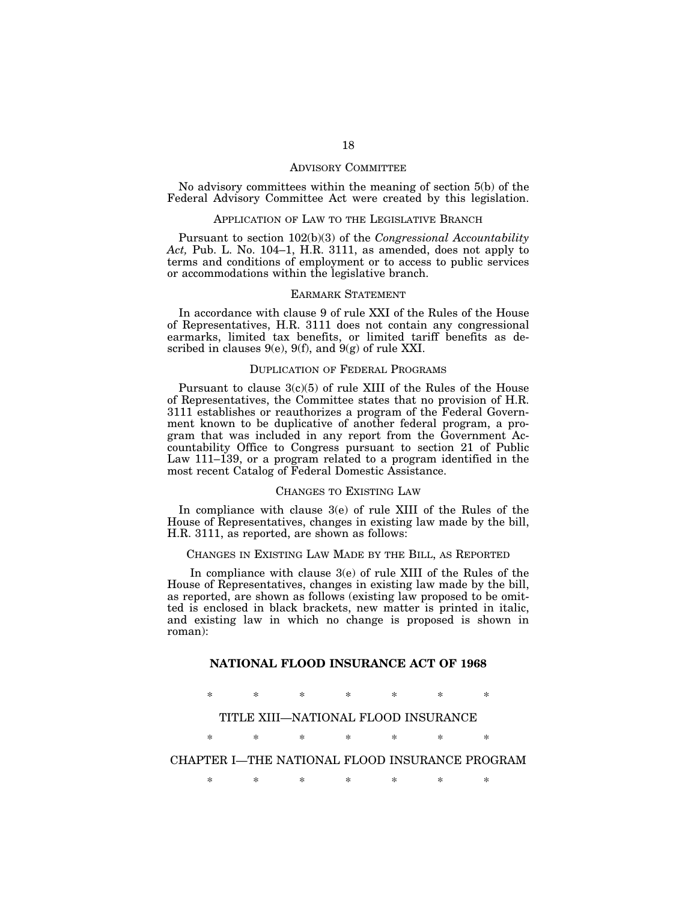### ADVISORY COMMITTEE

No advisory committees within the meaning of section 5(b) of the Federal Advisory Committee Act were created by this legislation.

# APPLICATION OF LAW TO THE LEGISLATIVE BRANCH

Pursuant to section 102(b)(3) of the *Congressional Accountability Act,* Pub. L. No. 104–1, H.R. 3111, as amended, does not apply to terms and conditions of employment or to access to public services or accommodations within the legislative branch.

# EARMARK STATEMENT

In accordance with clause 9 of rule XXI of the Rules of the House of Representatives, H.R. 3111 does not contain any congressional earmarks, limited tax benefits, or limited tariff benefits as described in clauses  $9(e)$ ,  $9(f)$ , and  $9(g)$  of rule XXI.

### DUPLICATION OF FEDERAL PROGRAMS

Pursuant to clause  $3(c)(5)$  of rule XIII of the Rules of the House of Representatives, the Committee states that no provision of H.R. 3111 establishes or reauthorizes a program of the Federal Government known to be duplicative of another federal program, a program that was included in any report from the Government Accountability Office to Congress pursuant to section 21 of Public Law 111–139, or a program related to a program identified in the most recent Catalog of Federal Domestic Assistance.

#### CHANGES TO EXISTING LAW

In compliance with clause 3(e) of rule XIII of the Rules of the House of Representatives, changes in existing law made by the bill, H.R. 3111, as reported, are shown as follows:

### CHANGES IN EXISTING LAW MADE BY THE BILL, AS REPORTED

In compliance with clause 3(e) of rule XIII of the Rules of the House of Representatives, changes in existing law made by the bill, as reported, are shown as follows (existing law proposed to be omitted is enclosed in black brackets, new matter is printed in italic, and existing law in which no change is proposed is shown in roman):

# **NATIONAL FLOOD INSURANCE ACT OF 1968**

\* \* \* \* \* \* \*

# TITLE XIII—NATIONAL FLOOD INSURANCE

\* \* \* \* \* \* \*

# CHAPTER I—THE NATIONAL FLOOD INSURANCE PROGRAM

\* \* \* \* \* \* \*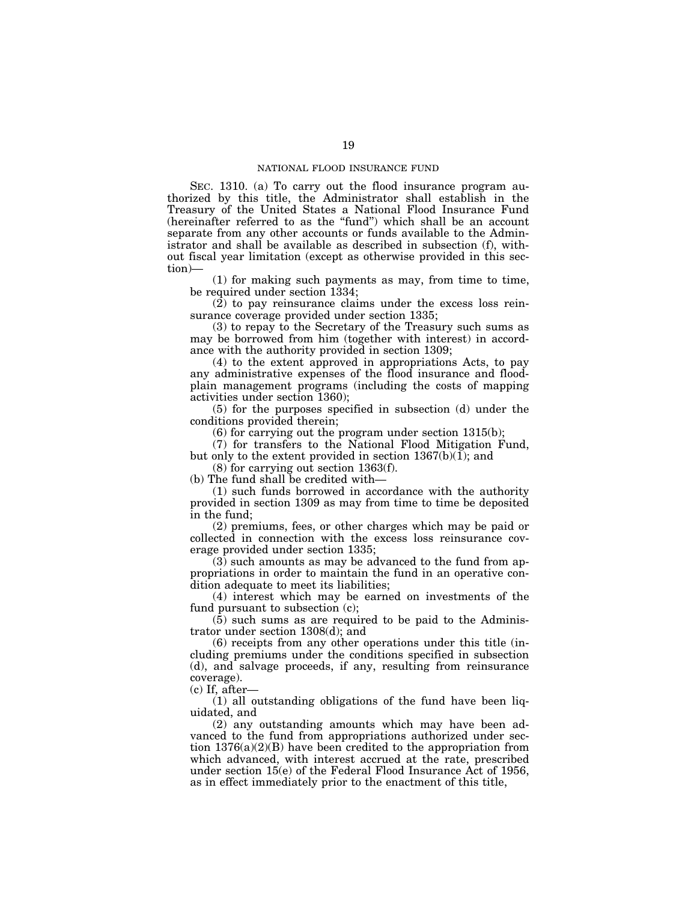SEC. 1310. (a) To carry out the flood insurance program authorized by this title, the Administrator shall establish in the Treasury of the United States a National Flood Insurance Fund (hereinafter referred to as the "fund") which shall be an account separate from any other accounts or funds available to the Administrator and shall be available as described in subsection (f), without fiscal year limitation (except as otherwise provided in this section)—

(1) for making such payments as may, from time to time, be required under section 1334;

 $(2)$  to pay reinsurance claims under the excess loss reinsurance coverage provided under section 1335;

(3) to repay to the Secretary of the Treasury such sums as may be borrowed from him (together with interest) in accordance with the authority provided in section 1309;

(4) to the extent approved in appropriations Acts, to pay any administrative expenses of the flood insurance and floodplain management programs (including the costs of mapping activities under section 1360);

(5) for the purposes specified in subsection (d) under the conditions provided therein;

(6) for carrying out the program under section 1315(b);

(7) for transfers to the National Flood Mitigation Fund, but only to the extent provided in section 1367(b)(1); and

(8) for carrying out section 1363(f).

(b) The fund shall be credited with—

(1) such funds borrowed in accordance with the authority provided in section 1309 as may from time to time be deposited in the fund;

(2) premiums, fees, or other charges which may be paid or collected in connection with the excess loss reinsurance coverage provided under section 1335;

 $(3)$  such amounts as may be advanced to the fund from appropriations in order to maintain the fund in an operative condition adequate to meet its liabilities;

(4) interest which may be earned on investments of the fund pursuant to subsection (c);

 $(5)$  such sums as are required to be paid to the Administrator under section 1308(d); and

(6) receipts from any other operations under this title (including premiums under the conditions specified in subsection (d), and salvage proceeds, if any, resulting from reinsurance coverage).

(c) If, after—

 $(1)$  all outstanding obligations of the fund have been liquidated, and

(2) any outstanding amounts which may have been advanced to the fund from appropriations authorized under section 1376(a)(2)(B) have been credited to the appropriation from which advanced, with interest accrued at the rate, prescribed under section 15(e) of the Federal Flood Insurance Act of 1956, as in effect immediately prior to the enactment of this title,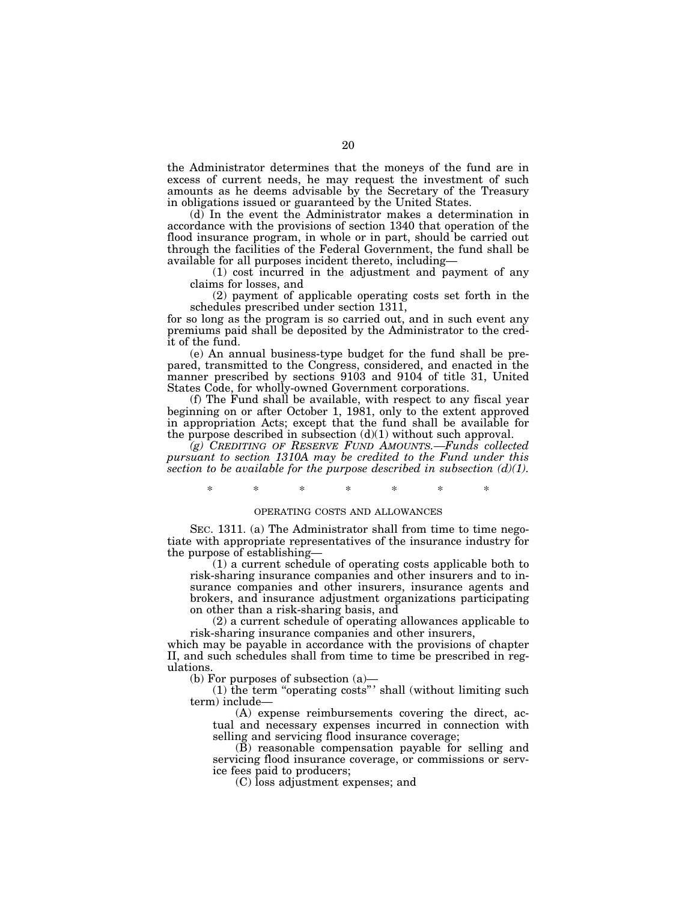the Administrator determines that the moneys of the fund are in excess of current needs, he may request the investment of such amounts as he deems advisable by the Secretary of the Treasury in obligations issued or guaranteed by the United States.

(d) In the event the Administrator makes a determination in accordance with the provisions of section 1340 that operation of the flood insurance program, in whole or in part, should be carried out through the facilities of the Federal Government, the fund shall be available for all purposes incident thereto, including—

(1) cost incurred in the adjustment and payment of any claims for losses, and

(2) payment of applicable operating costs set forth in the schedules prescribed under section 1311,

for so long as the program is so carried out, and in such event any premiums paid shall be deposited by the Administrator to the credit of the fund.

(e) An annual business-type budget for the fund shall be prepared, transmitted to the Congress, considered, and enacted in the manner prescribed by sections 9103 and 9104 of title 31, United States Code, for wholly-owned Government corporations.

(f) The Fund shall be available, with respect to any fiscal year beginning on or after October 1, 1981, only to the extent approved in appropriation Acts; except that the fund shall be available for the purpose described in subsection  $(d)(1)$  without such approval.

*(g) CREDITING OF RESERVE FUND AMOUNTS.—Funds collected pursuant to section 1310A may be credited to the Fund under this section to be available for the purpose described in subsection (d)(1).* 

\* \* \* \* \* \* \*

### OPERATING COSTS AND ALLOWANCES

SEC. 1311. (a) The Administrator shall from time to time negotiate with appropriate representatives of the insurance industry for the purpose of establishing—

(1) a current schedule of operating costs applicable both to risk-sharing insurance companies and other insurers and to insurance companies and other insurers, insurance agents and brokers, and insurance adjustment organizations participating on other than a risk-sharing basis, and

(2) a current schedule of operating allowances applicable to risk-sharing insurance companies and other insurers,

which may be payable in accordance with the provisions of chapter II, and such schedules shall from time to time be prescribed in regulations.

(b) For purposes of subsection (a)—

(1) the term ''operating costs'' ' shall (without limiting such term) include—

(A) expense reimbursements covering the direct, actual and necessary expenses incurred in connection with selling and servicing flood insurance coverage;

(B) reasonable compensation payable for selling and servicing flood insurance coverage, or commissions or service fees paid to producers;

(C) loss adjustment expenses; and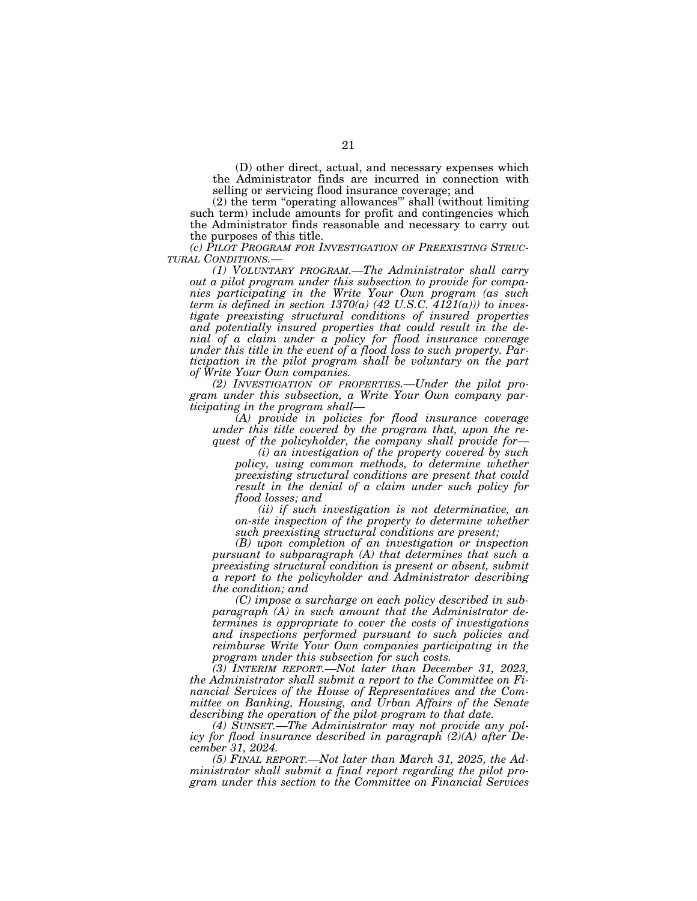(D) other direct, actual, and necessary expenses which the Administrator finds are incurred in connection with selling or servicing flood insurance coverage; and

(2) the term ''operating allowances''' shall (without limiting such term) include amounts for profit and contingencies which the Administrator finds reasonable and necessary to carry out the purposes of this title.

*(c) PILOT PROGRAM FOR INVESTIGATION OF PREEXISTING STRUC-*

*(1) VOLUNTARY PROGRAM.—The Administrator shall carry out a pilot program under this subsection to provide for companies participating in the Write Your Own program (as such term is defined in section 1370(a) (42 U.S.C. 4121(a))) to investigate preexisting structural conditions of insured properties and potentially insured properties that could result in the denial of a claim under a policy for flood insurance coverage under this title in the event of a flood loss to such property. Participation in the pilot program shall be voluntary on the part of Write Your Own companies.* 

*(2) INVESTIGATION OF PROPERTIES.—Under the pilot program under this subsection, a Write Your Own company participating in the program shall—* 

*(A) provide in policies for flood insurance coverage under this title covered by the program that, upon the request of the policyholder, the company shall provide for—* 

*(i) an investigation of the property covered by such policy, using common methods, to determine whether preexisting structural conditions are present that could result in the denial of a claim under such policy for flood losses; and* 

*(ii) if such investigation is not determinative, an on-site inspection of the property to determine whether such preexisting structural conditions are present;* 

*(B) upon completion of an investigation or inspection pursuant to subparagraph (A) that determines that such a preexisting structural condition is present or absent, submit a report to the policyholder and Administrator describing the condition; and* 

*(C) impose a surcharge on each policy described in subparagraph (A) in such amount that the Administrator determines is appropriate to cover the costs of investigations and inspections performed pursuant to such policies and reimburse Write Your Own companies participating in the program under this subsection for such costs.* 

*(3) INTERIM REPORT.—Not later than December 31, 2023, the Administrator shall submit a report to the Committee on Financial Services of the House of Representatives and the Committee on Banking, Housing, and Urban Affairs of the Senate describing the operation of the pilot program to that date.* 

*(4) SUNSET.—The Administrator may not provide any policy for flood insurance described in paragraph (2)(A) after December 31, 2024.* 

*(5) FINAL REPORT.—Not later than March 31, 2025, the Administrator shall submit a final report regarding the pilot program under this section to the Committee on Financial Services*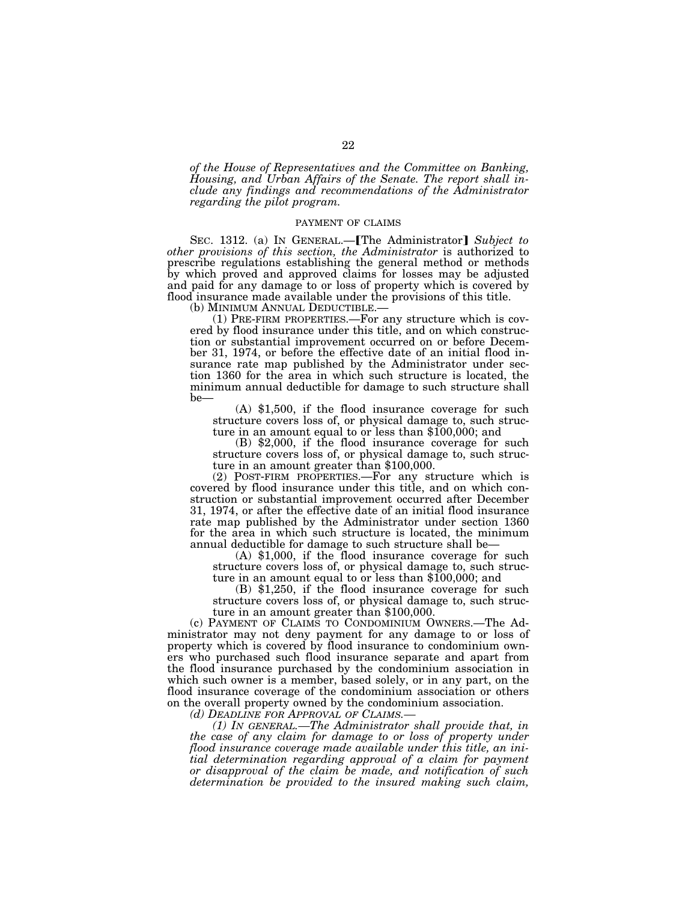*of the House of Representatives and the Committee on Banking, Housing, and Urban Affairs of the Senate. The report shall include any findings and recommendations of the Administrator regarding the pilot program.* 

#### PAYMENT OF CLAIMS

SEC. 1312. (a) IN GENERAL.—**[The Administrator]** Subject to *other provisions of this section, the Administrator* is authorized to prescribe regulations establishing the general method or methods by which proved and approved claims for losses may be adjusted and paid for any damage to or loss of property which is covered by flood insurance made available under the provisions of this title.

(b) MINIMUM ANNUAL DEDUCTIBLE.—<br>(1) PRE-FIRM PROPERTIES.—For any structure which is covered by flood insurance under this title, and on which construction or substantial improvement occurred on or before December 31, 1974, or before the effective date of an initial flood insurance rate map published by the Administrator under section 1360 for the area in which such structure is located, the minimum annual deductible for damage to such structure shall be—

(A) \$1,500, if the flood insurance coverage for such structure covers loss of, or physical damage to, such structure in an amount equal to or less than \$100,000; and

 $(B)$  \$2,000, if the flood insurance coverage for such structure covers loss of, or physical damage to, such structure in an amount greater than \$100,000.

(2) POST-FIRM PROPERTIES.—For any structure which is covered by flood insurance under this title, and on which construction or substantial improvement occurred after December 31, 1974, or after the effective date of an initial flood insurance rate map published by the Administrator under section 1360 for the area in which such structure is located, the minimum<br>annual deductible for damage to such structure shall be—

(A)  $$1,000$ , if the flood insurance coverage for such structure covers loss of, or physical damage to, such struc-

ture in an amount equal to or less than \$100,000; and (B) \$1,250, if the flood insurance coverage for such structure covers loss of, or physical damage to, such structure in an amount greater than \$100,000.

(c) PAYMENT OF CLAIMS TO CONDOMINIUM OWNERS.—The Administrator may not deny payment for any damage to or loss of property which is covered by flood insurance to condominium owners who purchased such flood insurance separate and apart from the flood insurance purchased by the condominium association in which such owner is a member, based solely, or in any part, on the flood insurance coverage of the condominium association or others on the overall property owned by the condominium association.

*(d) DEADLINE FOR APPROVAL OF CLAIMS.—* 

*(1) IN GENERAL.—The Administrator shall provide that, in the case of any claim for damage to or loss of property under flood insurance coverage made available under this title, an initial determination regarding approval of a claim for payment or disapproval of the claim be made, and notification of such determination be provided to the insured making such claim,*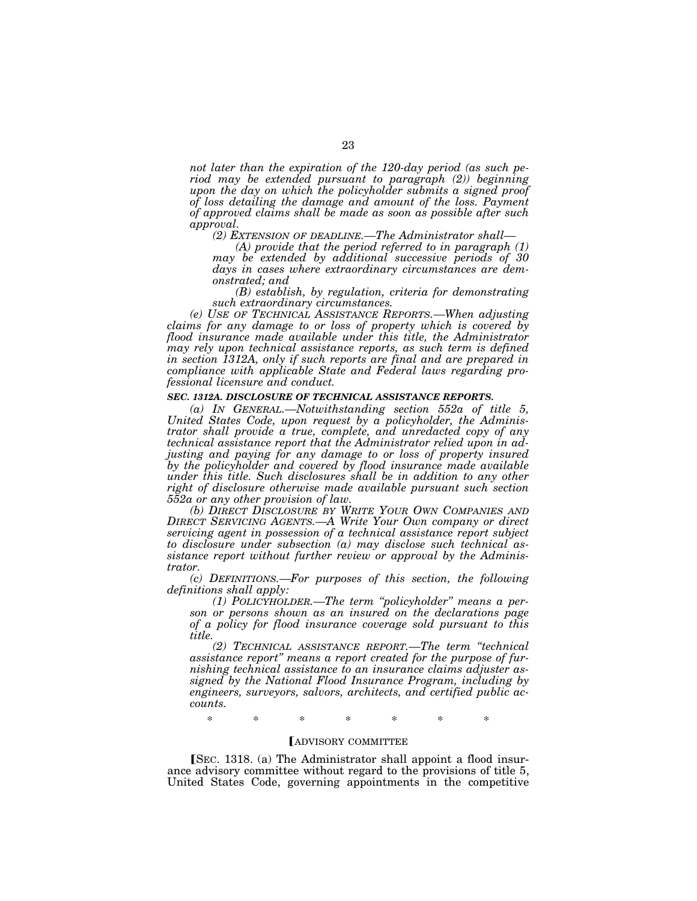*not later than the expiration of the 120-day period (as such period may be extended pursuant to paragraph (2)) beginning upon the day on which the policyholder submits a signed proof of loss detailing the damage and amount of the loss. Payment of approved claims shall be made as soon as possible after such approval.* 

*(2) EXTENSION OF DEADLINE.—The Administrator shall—* 

*(A) provide that the period referred to in paragraph (1) may be extended by additional successive periods of 30 days in cases where extraordinary circumstances are demonstrated; and* 

*(B) establish, by regulation, criteria for demonstrating such extraordinary circumstances.* 

*(e) USE OF TECHNICAL ASSISTANCE REPORTS.—When adjusting claims for any damage to or loss of property which is covered by flood insurance made available under this title, the Administrator may rely upon technical assistance reports, as such term is defined in section 1312A, only if such reports are final and are prepared in compliance with applicable State and Federal laws regarding professional licensure and conduct.* 

#### *SEC. 1312A. DISCLOSURE OF TECHNICAL ASSISTANCE REPORTS.*

*(a) IN GENERAL.—Notwithstanding section 552a of title 5, United States Code, upon request by a policyholder, the Administrator shall provide a true, complete, and unredacted copy of any technical assistance report that the Administrator relied upon in adjusting and paying for any damage to or loss of property insured by the policyholder and covered by flood insurance made available under this title. Such disclosures shall be in addition to any other right of disclosure otherwise made available pursuant such section 552a or any other provision of law.* 

*(b) DIRECT DISCLOSURE BY WRITE YOUR OWN COMPANIES AND DIRECT SERVICING AGENTS.—A Write Your Own company or direct servicing agent in possession of a technical assistance report subject to disclosure under subsection (a) may disclose such technical assistance report without further review or approval by the Administrator.* 

*(c) DEFINITIONS.—For purposes of this section, the following definitions shall apply:* 

*(1) POLICYHOLDER.—The term ''policyholder'' means a person or persons shown as an insured on the declarations page of a policy for flood insurance coverage sold pursuant to this title.* 

*(2) TECHNICAL ASSISTANCE REPORT.—The term ''technical assistance report'' means a report created for the purpose of furnishing technical assistance to an insurance claims adjuster assigned by the National Flood Insurance Program, including by engineers, surveyors, salvors, architects, and certified public accounts.* 

\* \* \* \* \* \* \*

#### **FADVISORY COMMITTEE**

**[SEC. 1318.** (a) The Administrator shall appoint a flood insurance advisory committee without regard to the provisions of title 5, United States Code, governing appointments in the competitive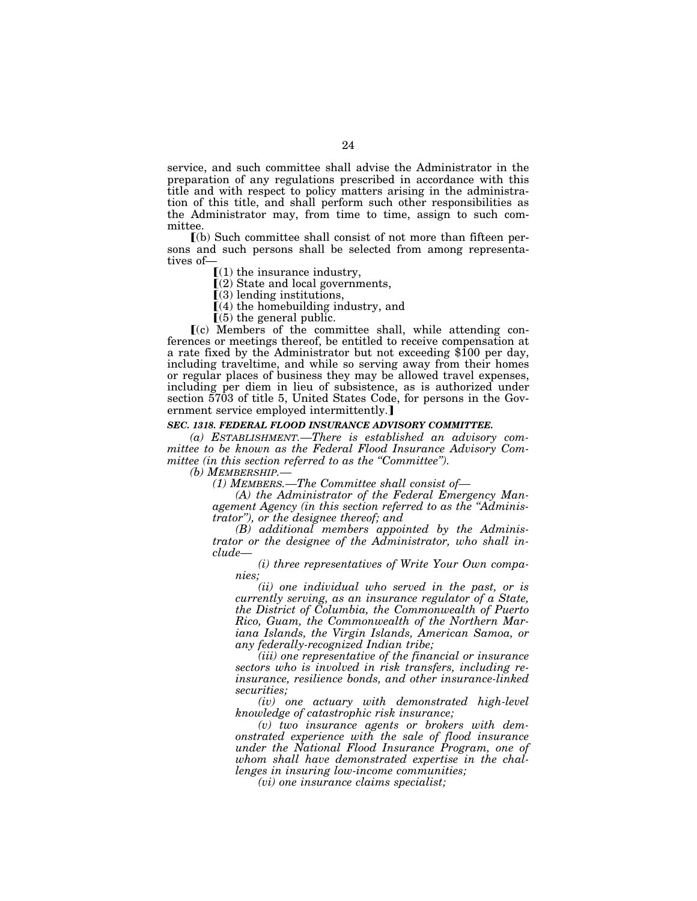service, and such committee shall advise the Administrator in the preparation of any regulations prescribed in accordance with this title and with respect to policy matters arising in the administration of this title, and shall perform such other responsibilities as the Administrator may, from time to time, assign to such committee.

ø(b) Such committee shall consist of not more than fifteen persons and such persons shall be selected from among representatives of—

 $\Gamma(1)$  the insurance industry,

 $(2)$  State and local governments,

 $(3)$  lending institutions,

 $(4)$  the homebuilding industry, and

 $(5)$  the general public.

ø(c) Members of the committee shall, while attending conferences or meetings thereof, be entitled to receive compensation at a rate fixed by the Administrator but not exceeding \$100 per day, including traveltime, and while so serving away from their homes or regular places of business they may be allowed travel expenses, including per diem in lieu of subsistence, as is authorized under section 5703 of title 5, United States Code, for persons in the Government service employed intermittently.

# *SEC. 1318. FEDERAL FLOOD INSURANCE ADVISORY COMMITTEE.*

*(a) ESTABLISHMENT.—There is established an advisory committee to be known as the Federal Flood Insurance Advisory Committee (in this section referred to as the ''Committee'').* 

*(b) MEMBERSHIP.—* 

*(1) MEMBERS.—The Committee shall consist of—* 

*(A) the Administrator of the Federal Emergency Management Agency (in this section referred to as the ''Administrator''), or the designee thereof; and* 

*(B) additional members appointed by the Administrator or the designee of the Administrator, who shall include—* 

*(i) three representatives of Write Your Own companies;* 

*(ii) one individual who served in the past, or is currently serving, as an insurance regulator of a State, the District of Columbia, the Commonwealth of Puerto Rico, Guam, the Commonwealth of the Northern Mariana Islands, the Virgin Islands, American Samoa, or any federally-recognized Indian tribe;* 

*(iii) one representative of the financial or insurance sectors who is involved in risk transfers, including reinsurance, resilience bonds, and other insurance-linked securities;* 

*(iv) one actuary with demonstrated high-level knowledge of catastrophic risk insurance;* 

*(v) two insurance agents or brokers with demonstrated experience with the sale of flood insurance under the National Flood Insurance Program, one of whom shall have demonstrated expertise in the challenges in insuring low-income communities;* 

*(vi) one insurance claims specialist;*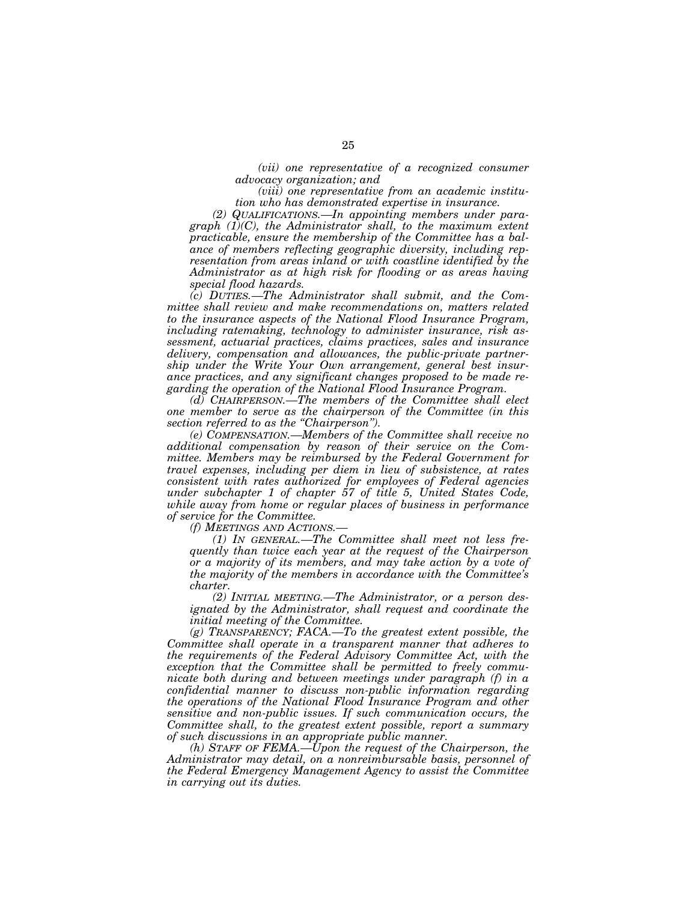*(vii) one representative of a recognized consumer advocacy organization; and* 

*(viii) one representative from an academic institution who has demonstrated expertise in insurance.* 

*(2) QUALIFICATIONS.—In appointing members under paragraph (1)(C), the Administrator shall, to the maximum extent practicable, ensure the membership of the Committee has a balance of members reflecting geographic diversity, including representation from areas inland or with coastline identified by the Administrator as at high risk for flooding or as areas having special flood hazards.* 

*(c) DUTIES.—The Administrator shall submit, and the Committee shall review and make recommendations on, matters related to the insurance aspects of the National Flood Insurance Program, including ratemaking, technology to administer insurance, risk assessment, actuarial practices, claims practices, sales and insurance delivery, compensation and allowances, the public-private partnership under the Write Your Own arrangement, general best insurance practices, and any significant changes proposed to be made regarding the operation of the National Flood Insurance Program.* 

*(d) CHAIRPERSON.—The members of the Committee shall elect one member to serve as the chairperson of the Committee (in this section referred to as the ''Chairperson'').* 

*(e) COMPENSATION.—Members of the Committee shall receive no additional compensation by reason of their service on the Committee. Members may be reimbursed by the Federal Government for travel expenses, including per diem in lieu of subsistence, at rates consistent with rates authorized for employees of Federal agencies under subchapter 1 of chapter 57 of title 5, United States Code, while away from home or regular places of business in performance of service for the Committee.* 

*(f) MEETINGS AND ACTIONS.—* 

*(1) IN GENERAL.—The Committee shall meet not less frequently than twice each year at the request of the Chairperson or a majority of its members, and may take action by a vote of the majority of the members in accordance with the Committee's charter.* 

*(2) INITIAL MEETING.—The Administrator, or a person designated by the Administrator, shall request and coordinate the initial meeting of the Committee.* 

*(g) TRANSPARENCY; FACA.—To the greatest extent possible, the Committee shall operate in a transparent manner that adheres to the requirements of the Federal Advisory Committee Act, with the exception that the Committee shall be permitted to freely communicate both during and between meetings under paragraph (f) in a confidential manner to discuss non-public information regarding the operations of the National Flood Insurance Program and other sensitive and non-public issues. If such communication occurs, the Committee shall, to the greatest extent possible, report a summary of such discussions in an appropriate public manner.* 

*(h) STAFF OF FEMA.—Upon the request of the Chairperson, the Administrator may detail, on a nonreimbursable basis, personnel of the Federal Emergency Management Agency to assist the Committee in carrying out its duties.*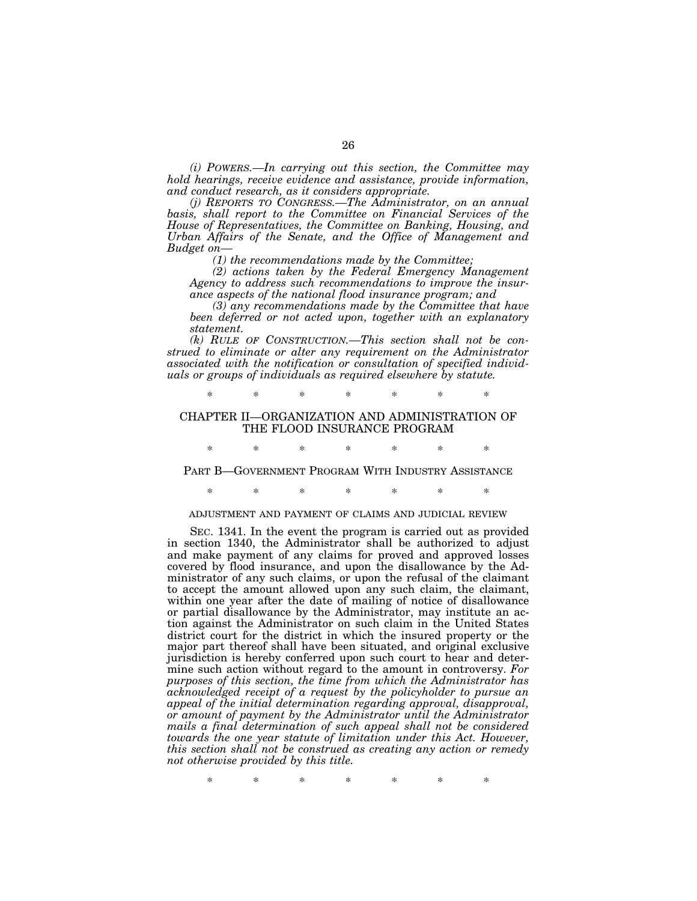*(i) POWERS.—In carrying out this section, the Committee may hold hearings, receive evidence and assistance, provide information, and conduct research, as it considers appropriate.* 

*(j) REPORTS TO CONGRESS.—The Administrator, on an annual basis, shall report to the Committee on Financial Services of the House of Representatives, the Committee on Banking, Housing, and Urban Affairs of the Senate, and the Office of Management and Budget on—* 

*(1) the recommendations made by the Committee;* 

*(2) actions taken by the Federal Emergency Management Agency to address such recommendations to improve the insurance aspects of the national flood insurance program; and* 

*(3) any recommendations made by the Committee that have been deferred or not acted upon, together with an explanatory statement.* 

*(k) RULE OF CONSTRUCTION.—This section shall not be construed to eliminate or alter any requirement on the Administrator associated with the notification or consultation of specified individuals or groups of individuals as required elsewhere by statute.* 

\* \* \* \* \* \* \*

# CHAPTER II—ORGANIZATION AND ADMINISTRATION OF THE FLOOD INSURANCE PROGRAM

\* \* \* \* \* \* \*

PART B—GOVERNMENT PROGRAM WITH INDUSTRY ASSISTANCE

\* \* \* \* \* \* \*

# ADJUSTMENT AND PAYMENT OF CLAIMS AND JUDICIAL REVIEW

SEC. 1341. In the event the program is carried out as provided in section 1340, the Administrator shall be authorized to adjust and make payment of any claims for proved and approved losses covered by flood insurance, and upon the disallowance by the Administrator of any such claims, or upon the refusal of the claimant to accept the amount allowed upon any such claim, the claimant, within one year after the date of mailing of notice of disallowance or partial disallowance by the Administrator, may institute an action against the Administrator on such claim in the United States district court for the district in which the insured property or the major part thereof shall have been situated, and original exclusive jurisdiction is hereby conferred upon such court to hear and determine such action without regard to the amount in controversy. *For purposes of this section, the time from which the Administrator has acknowledged receipt of a request by the policyholder to pursue an appeal of the initial determination regarding approval, disapproval, or amount of payment by the Administrator until the Administrator mails a final determination of such appeal shall not be considered towards the one year statute of limitation under this Act. However, this section shall not be construed as creating any action or remedy not otherwise provided by this title.* 

\* \* \* \* \* \* \*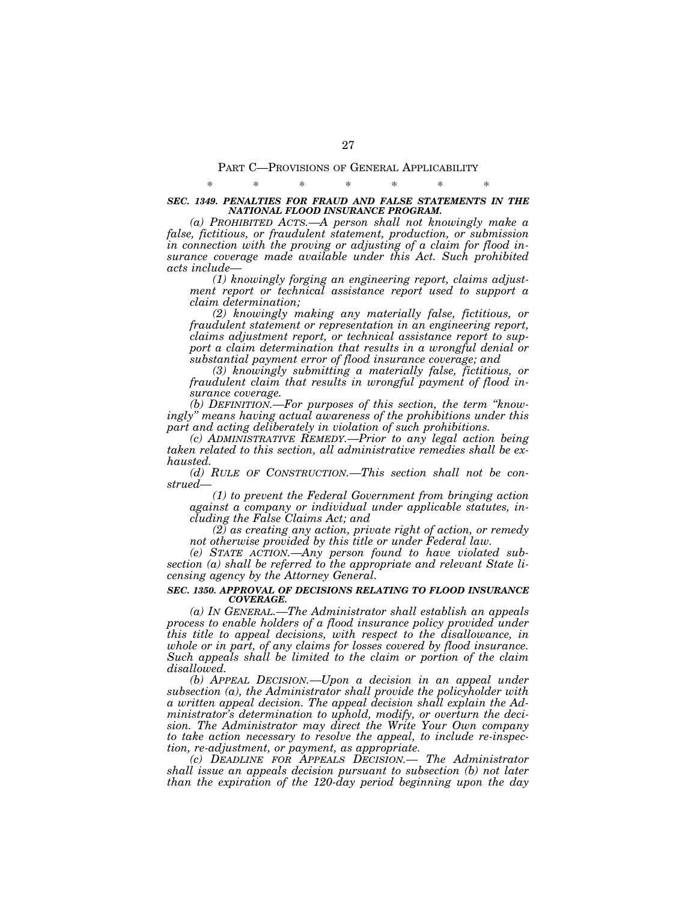# PART C—PROVISIONS OF GENERAL APPLICABILITY \* \* \* \* \* \* \*

# *SEC. 1349. PENALTIES FOR FRAUD AND FALSE STATEMENTS IN THE NATIONAL FLOOD INSURANCE PROGRAM.*

*(a) PROHIBITED ACTS.—A person shall not knowingly make a false, fictitious, or fraudulent statement, production, or submission in connection with the proving or adjusting of a claim for flood insurance coverage made available under this Act. Such prohibited acts include—* 

*(1) knowingly forging an engineering report, claims adjustment report or technical assistance report used to support a claim determination;* 

*(2) knowingly making any materially false, fictitious, or fraudulent statement or representation in an engineering report, claims adjustment report, or technical assistance report to support a claim determination that results in a wrongful denial or substantial payment error of flood insurance coverage; and* 

*(3) knowingly submitting a materially false, fictitious, or fraudulent claim that results in wrongful payment of flood insurance coverage.* 

*(b) DEFINITION.—For purposes of this section, the term ''knowingly'' means having actual awareness of the prohibitions under this part and acting deliberately in violation of such prohibitions.* 

*(c) ADMINISTRATIVE REMEDY.—Prior to any legal action being taken related to this section, all administrative remedies shall be exhausted.* 

*(d) RULE OF CONSTRUCTION.—This section shall not be construed—* 

*(1) to prevent the Federal Government from bringing action against a company or individual under applicable statutes, including the False Claims Act; and* 

*(2) as creating any action, private right of action, or remedy not otherwise provided by this title or under Federal law.* 

*(e) STATE ACTION.—Any person found to have violated subsection (a) shall be referred to the appropriate and relevant State licensing agency by the Attorney General.* 

### *SEC. 1350. APPROVAL OF DECISIONS RELATING TO FLOOD INSURANCE COVERAGE.*

*(a) IN GENERAL.—The Administrator shall establish an appeals process to enable holders of a flood insurance policy provided under this title to appeal decisions, with respect to the disallowance, in whole or in part, of any claims for losses covered by flood insurance. Such appeals shall be limited to the claim or portion of the claim disallowed.* 

*(b) APPEAL DECISION.—Upon a decision in an appeal under subsection (a), the Administrator shall provide the policyholder with a written appeal decision. The appeal decision shall explain the Administrator's determination to uphold, modify, or overturn the decision. The Administrator may direct the Write Your Own company to take action necessary to resolve the appeal, to include re-inspection, re-adjustment, or payment, as appropriate.* 

*(c) DEADLINE FOR APPEALS DECISION.— The Administrator shall issue an appeals decision pursuant to subsection (b) not later than the expiration of the 120-day period beginning upon the day*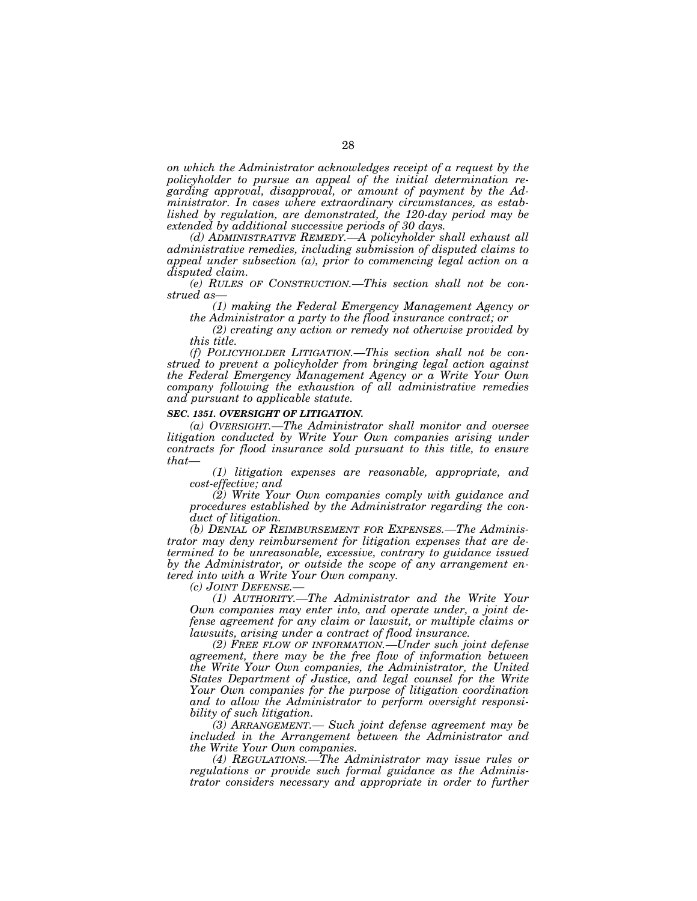*on which the Administrator acknowledges receipt of a request by the policyholder to pursue an appeal of the initial determination regarding approval, disapproval, or amount of payment by the Administrator. In cases where extraordinary circumstances, as established by regulation, are demonstrated, the 120-day period may be extended by additional successive periods of 30 days.* 

*(d) ADMINISTRATIVE REMEDY.—A policyholder shall exhaust all administrative remedies, including submission of disputed claims to appeal under subsection (a), prior to commencing legal action on a disputed claim.* 

*(e) RULES OF CONSTRUCTION.—This section shall not be construed as—* 

*(1) making the Federal Emergency Management Agency or the Administrator a party to the flood insurance contract; or* 

*(2) creating any action or remedy not otherwise provided by this title.* 

*(f) POLICYHOLDER LITIGATION.—This section shall not be construed to prevent a policyholder from bringing legal action against the Federal Emergency Management Agency or a Write Your Own company following the exhaustion of all administrative remedies and pursuant to applicable statute.* 

#### *SEC. 1351. OVERSIGHT OF LITIGATION.*

*(a) OVERSIGHT.—The Administrator shall monitor and oversee litigation conducted by Write Your Own companies arising under contracts for flood insurance sold pursuant to this title, to ensure that—* 

*(1) litigation expenses are reasonable, appropriate, and cost-effective; and* 

*(2) Write Your Own companies comply with guidance and procedures established by the Administrator regarding the conduct of litigation.* 

*(b) DENIAL OF REIMBURSEMENT FOR EXPENSES.—The Administrator may deny reimbursement for litigation expenses that are determined to be unreasonable, excessive, contrary to guidance issued by the Administrator, or outside the scope of any arrangement entered into with a Write Your Own company.* 

*(c) JOINT DEFENSE.—* 

*(1) AUTHORITY.—The Administrator and the Write Your Own companies may enter into, and operate under, a joint defense agreement for any claim or lawsuit, or multiple claims or lawsuits, arising under a contract of flood insurance.* 

*(2) FREE FLOW OF INFORMATION.—Under such joint defense agreement, there may be the free flow of information between the Write Your Own companies, the Administrator, the United States Department of Justice, and legal counsel for the Write Your Own companies for the purpose of litigation coordination and to allow the Administrator to perform oversight responsibility of such litigation.* 

*(3) ARRANGEMENT.— Such joint defense agreement may be included in the Arrangement between the Administrator and the Write Your Own companies.* 

*(4) REGULATIONS.—The Administrator may issue rules or regulations or provide such formal guidance as the Administrator considers necessary and appropriate in order to further*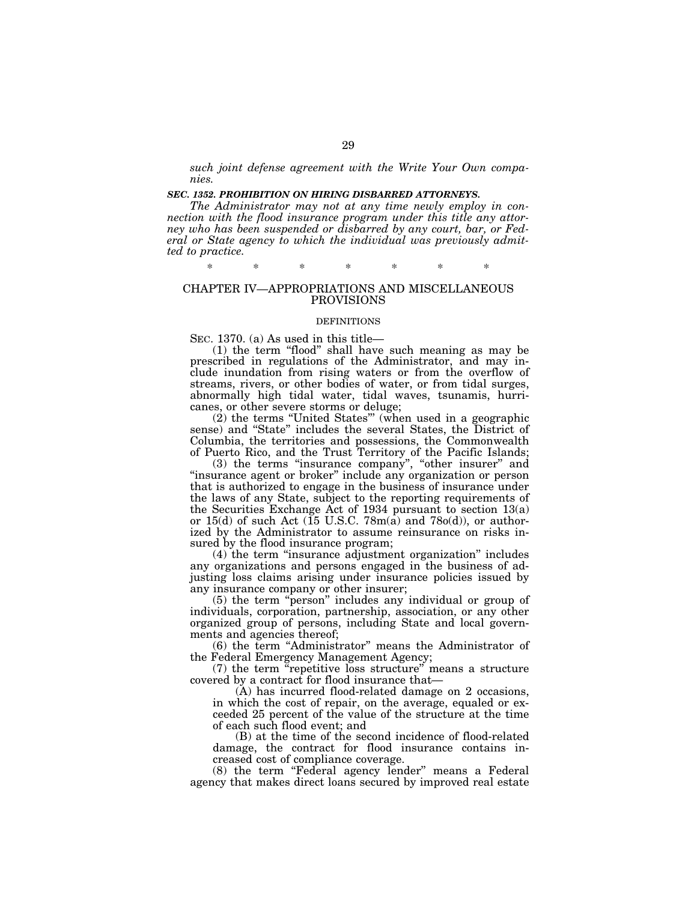*such joint defense agreement with the Write Your Own companies.* 

# *SEC. 1352. PROHIBITION ON HIRING DISBARRED ATTORNEYS.*

*The Administrator may not at any time newly employ in connection with the flood insurance program under this title any attorney who has been suspended or disbarred by any court, bar, or Federal or State agency to which the individual was previously admitted to practice.* 

\* \* \* \* \* \* \*

# CHAPTER IV—APPROPRIATIONS AND MISCELLANEOUS PROVISIONS

#### DEFINITIONS

SEC. 1370. (a) As used in this title—

(1) the term ''flood'' shall have such meaning as may be prescribed in regulations of the Administrator, and may include inundation from rising waters or from the overflow of streams, rivers, or other bodies of water, or from tidal surges, abnormally high tidal water, tidal waves, tsunamis, hurricanes, or other severe storms or deluge;

(2) the terms ''United States''' (when used in a geographic sense) and ''State'' includes the several States, the District of Columbia, the territories and possessions, the Commonwealth of Puerto Rico, and the Trust Territory of the Pacific Islands;

(3) the terms ''insurance company'', ''other insurer'' and "insurance agent or broker" include any organization or person that is authorized to engage in the business of insurance under the laws of any State, subject to the reporting requirements of the Securities Exchange Act of 1934 pursuant to section 13(a) or 15(d) of such Act ( $15 \text{ U.S.C. } 78 \text{m(a)}$  and  $78 \text{o(d)}$ ), or authorized by the Administrator to assume reinsurance on risks insured by the flood insurance program;

(4) the term ''insurance adjustment organization'' includes any organizations and persons engaged in the business of adjusting loss claims arising under insurance policies issued by any insurance company or other insurer;

(5) the term ''person'' includes any individual or group of individuals, corporation, partnership, association, or any other organized group of persons, including State and local governments and agencies thereof;

(6) the term ''Administrator'' means the Administrator of the Federal Emergency Management Agency;

(7) the term ''repetitive loss structure'' means a structure covered by a contract for flood insurance that—

(A) has incurred flood-related damage on 2 occasions, in which the cost of repair, on the average, equaled or exceeded 25 percent of the value of the structure at the time of each such flood event; and

(B) at the time of the second incidence of flood-related damage, the contract for flood insurance contains increased cost of compliance coverage.

(8) the term ''Federal agency lender'' means a Federal agency that makes direct loans secured by improved real estate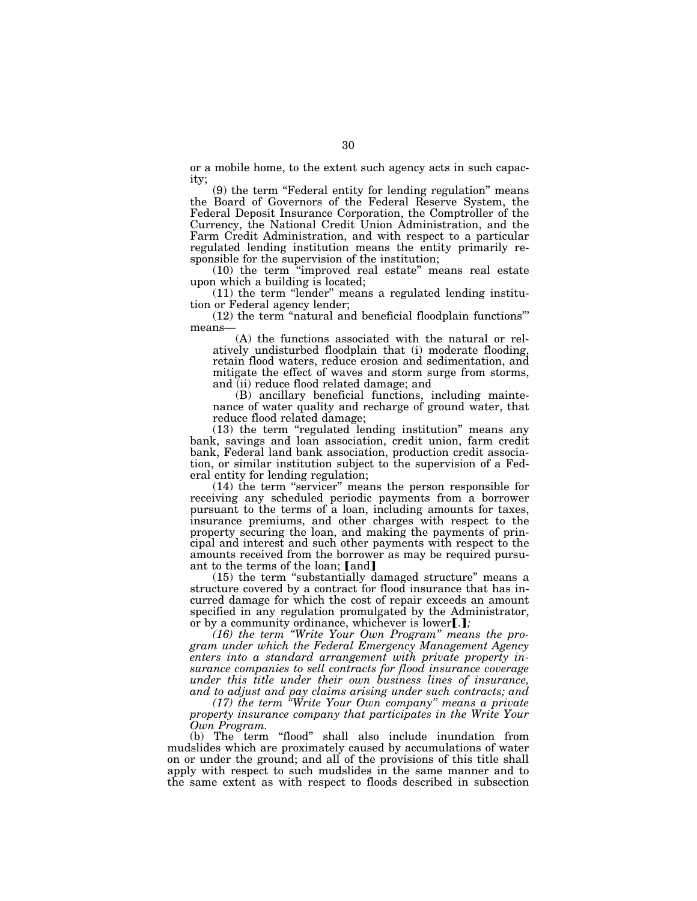or a mobile home, to the extent such agency acts in such capacity;

(9) the term ''Federal entity for lending regulation'' means the Board of Governors of the Federal Reserve System, the Federal Deposit Insurance Corporation, the Comptroller of the Currency, the National Credit Union Administration, and the Farm Credit Administration, and with respect to a particular regulated lending institution means the entity primarily responsible for the supervision of the institution;

(10) the term ''improved real estate'' means real estate upon which a building is located;

(11) the term ''lender'' means a regulated lending institution or Federal agency lender;

(12) the term ''natural and beneficial floodplain functions''' means—

(A) the functions associated with the natural or relatively undisturbed floodplain that (i) moderate flooding, retain flood waters, reduce erosion and sedimentation, and mitigate the effect of waves and storm surge from storms, and (ii) reduce flood related damage; and

(B) ancillary beneficial functions, including maintenance of water quality and recharge of ground water, that reduce flood related damage;

(13) the term ''regulated lending institution'' means any bank, savings and loan association, credit union, farm credit bank, Federal land bank association, production credit association, or similar institution subject to the supervision of a Federal entity for lending regulation;

(14) the term ''servicer'' means the person responsible for receiving any scheduled periodic payments from a borrower pursuant to the terms of a loan, including amounts for taxes, insurance premiums, and other charges with respect to the property securing the loan, and making the payments of principal and interest and such other payments with respect to the amounts received from the borrower as may be required pursuant to the terms of the loan; [and]

(15) the term ''substantially damaged structure'' means a structure covered by a contract for flood insurance that has incurred damage for which the cost of repair exceeds an amount specified in any regulation promulgated by the Administrator, or by a community ordinance, whichever is lower[.];

*(16) the term ''Write Your Own Program'' means the program under which the Federal Emergency Management Agency enters into a standard arrangement with private property insurance companies to sell contracts for flood insurance coverage under this title under their own business lines of insurance, and to adjust and pay claims arising under such contracts; and* 

*(17) the term ''Write Your Own company'' means a private property insurance company that participates in the Write Your Own Program.* 

(b) The term "flood" shall also include inundation from mudslides which are proximately caused by accumulations of water on or under the ground; and all of the provisions of this title shall apply with respect to such mudslides in the same manner and to the same extent as with respect to floods described in subsection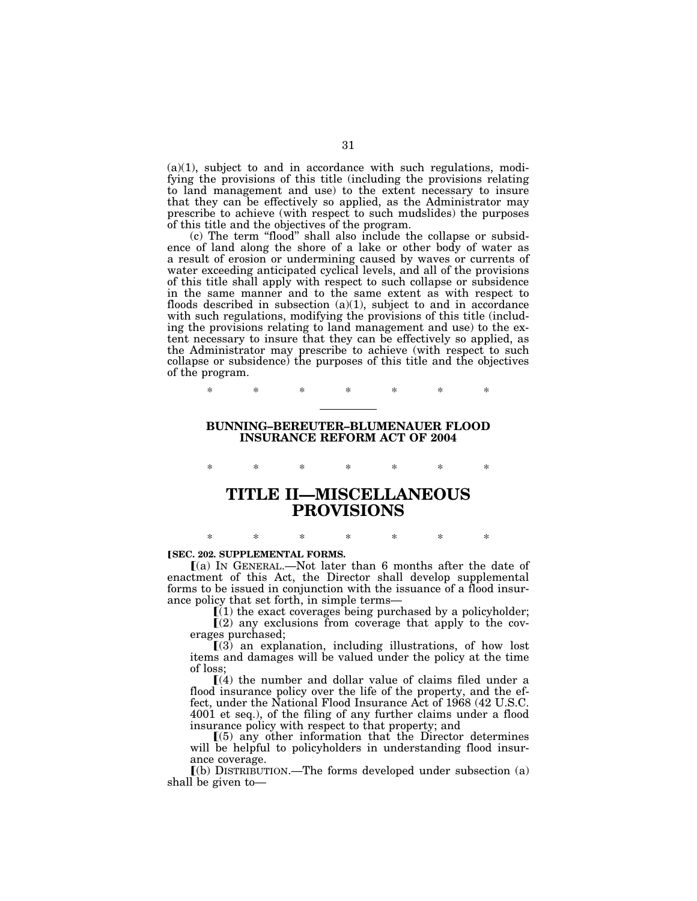$(a)(1)$ , subject to and in accordance with such regulations, modifying the provisions of this title (including the provisions relating to land management and use) to the extent necessary to insure that they can be effectively so applied, as the Administrator may prescribe to achieve (with respect to such mudslides) the purposes of this title and the objectives of the program.

(c) The term ''flood'' shall also include the collapse or subsidence of land along the shore of a lake or other body of water as a result of erosion or undermining caused by waves or currents of water exceeding anticipated cyclical levels, and all of the provisions of this title shall apply with respect to such collapse or subsidence in the same manner and to the same extent as with respect to floods described in subsection  $(a)(1)$ , subject to and in accordance with such regulations, modifying the provisions of this title (including the provisions relating to land management and use) to the extent necessary to insure that they can be effectively so applied, as the Administrator may prescribe to achieve (with respect to such collapse or subsidence) the purposes of this title and the objectives of the program.

\* \* \* \* \* \* \*

# **BUNNING–BEREUTER–BLUMENAUER FLOOD INSURANCE REFORM ACT OF 2004**

\* \* \* \* \* \* \* **TITLE II—MISCELLANEOUS PROVISIONS** 

#### **ISEC. 202. SUPPLEMENTAL FORMS.**

ø(a) IN GENERAL.—Not later than 6 months after the date of enactment of this Act, the Director shall develop supplemental forms to be issued in conjunction with the issuance of a flood insurance policy that set forth, in simple terms—

\* \* \* \* \* \* \*

 $(i)$  the exact coverages being purchased by a policyholder;  $\mathbb{I}(2)$  any exclusions from coverage that apply to the coverages purchased;

 $(3)$  an explanation, including illustrations, of how lost items and damages will be valued under the policy at the time of loss;

 $(a)$  the number and dollar value of claims filed under a flood insurance policy over the life of the property, and the effect, under the National Flood Insurance Act of 1968 (42 U.S.C. 4001 et seq.), of the filing of any further claims under a flood insurance policy with respect to that property; and

 $(5)$  any other information that the Director determines will be helpful to policyholders in understanding flood insurance coverage.

 $(a)$  DISTRIBUTION.—The forms developed under subsection  $(a)$ shall be given to—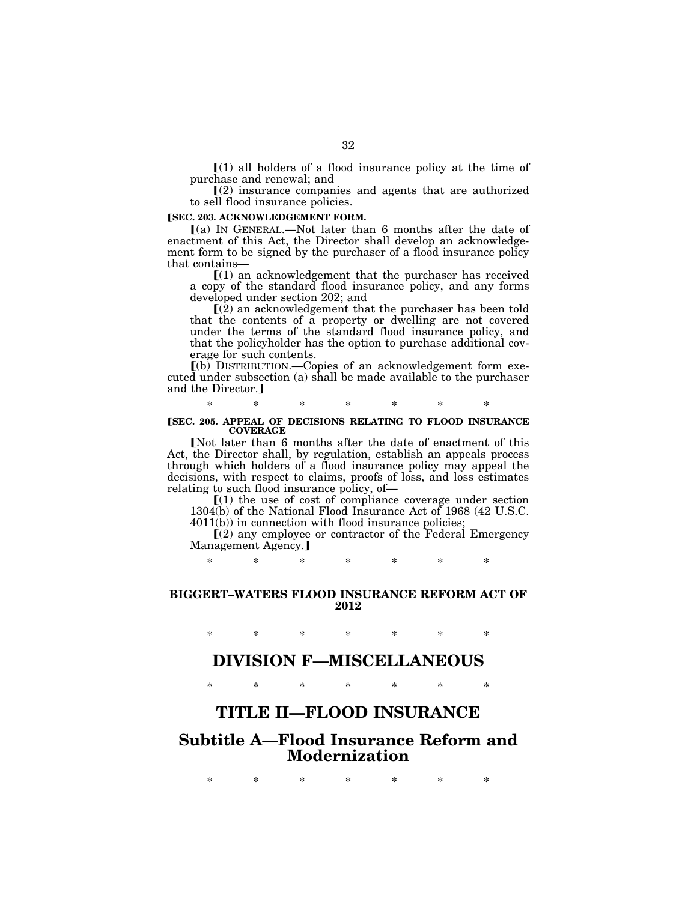$\lceil (1)$  all holders of a flood insurance policy at the time of purchase and renewal; and

 $(2)$  insurance companies and agents that are authorized to sell flood insurance policies.

# **[SEC. 203. ACKNOWLEDGEMENT FORM.**

ø(a) IN GENERAL.—Not later than 6 months after the date of enactment of this Act, the Director shall develop an acknowledgement form to be signed by the purchaser of a flood insurance policy that contains—

 $(1)$  an acknowledgement that the purchaser has received a copy of the standard flood insurance policy, and any forms developed under section 202; and

 $\mathbb{I}(\overline{2})$  an acknowledgement that the purchaser has been told that the contents of a property or dwelling are not covered under the terms of the standard flood insurance policy, and that the policyholder has the option to purchase additional coverage for such contents.

 $\lceil (b)$  DISTRIBUTION.—Copies of an acknowledgement form executed under subsection (a) shall be made available to the purchaser and the Director.]

\* \* \* \* \* \* \*

### **[SEC. 205. APPEAL OF DECISIONS RELATING TO FLOOD INSURANCE COVERAGE**

[Not later than 6 months after the date of enactment of this Act, the Director shall, by regulation, establish an appeals process through which holders of a flood insurance policy may appeal the decisions, with respect to claims, proofs of loss, and loss estimates relating to such flood insurance policy, of—

 $(1)$  the use of cost of compliance coverage under section 1304(b) of the National Flood Insurance Act of 1968 (42 U.S.C. 4011(b)) in connection with flood insurance policies;

 $\Gamma(2)$  any employee or contractor of the Federal Emergency Management Agency.]

\* \* \* \* \* \* \*

# **BIGGERT–WATERS FLOOD INSURANCE REFORM ACT OF 2012**

\* \* \* \* \* \* \*

# **DIVISION F—MISCELLANEOUS**

\* \* \* \* \* \* \*

# **TITLE II—FLOOD INSURANCE**

# **Subtitle A—Flood Insurance Reform and Modernization**

\* \* \* \* \* \* \*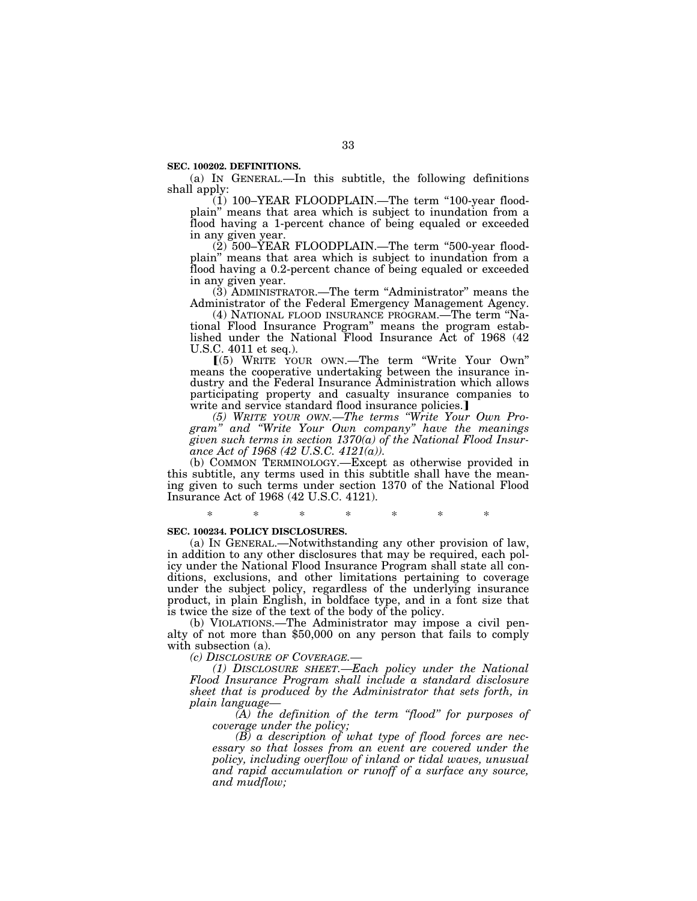**SEC. 100202. DEFINITIONS.** 

(a) IN GENERAL.—In this subtitle, the following definitions shall apply:

 $(1)$  100–YEAR FLOODPLAIN.—The term "100-year floodplain'' means that area which is subject to inundation from a flood having a 1-percent chance of being equaled or exceeded in any given year.

 $(2)$  500–YEAR FLOODPLAIN.—The term "500-year floodplain'' means that area which is subject to inundation from a flood having a 0.2-percent chance of being equaled or exceeded in any given year.

(3) ADMINISTRATOR.—The term ''Administrator'' means the Administrator of the Federal Emergency Management Agency.

(4) NATIONAL FLOOD INSURANCE PROGRAM.—The term ''National Flood Insurance Program'' means the program established under the National Flood Insurance Act of 1968 (42 U.S.C. 4011 et seq.).

ø(5) WRITE YOUR OWN.—The term ''Write Your Own'' means the cooperative undertaking between the insurance industry and the Federal Insurance Administration which allows participating property and casualty insurance companies to write and service standard flood insurance policies.]

*(5) WRITE YOUR OWN.—The terms ''Write Your Own Program'' and ''Write Your Own company'' have the meanings given such terms in section 1370(a) of the National Flood Insurance Act of 1968 (42 U.S.C. 4121(a)).* 

(b) COMMON TERMINOLOGY.—Except as otherwise provided in this subtitle, any terms used in this subtitle shall have the meaning given to such terms under section 1370 of the National Flood Insurance Act of 1968 (42 U.S.C. 4121).

# \* \* \* \* \* \* \*

# **SEC. 100234. POLICY DISCLOSURES.**

(a) IN GENERAL.—Notwithstanding any other provision of law, in addition to any other disclosures that may be required, each policy under the National Flood Insurance Program shall state all conditions, exclusions, and other limitations pertaining to coverage under the subject policy, regardless of the underlying insurance product, in plain English, in boldface type, and in a font size that is twice the size of the text of the body of the policy.

(b) VIOLATIONS.—The Administrator may impose a civil penalty of not more than \$50,000 on any person that fails to comply with subsection (a).

*(c) DISCLOSURE OF COVERAGE.—* 

*(1) DISCLOSURE SHEET.—Each policy under the National Flood Insurance Program shall include a standard disclosure sheet that is produced by the Administrator that sets forth, in plain language—* 

*(A) the definition of the term ''flood'' for purposes of coverage under the policy;* 

*(B) a description of what type of flood forces are necessary so that losses from an event are covered under the policy, including overflow of inland or tidal waves, unusual and rapid accumulation or runoff of a surface any source, and mudflow;*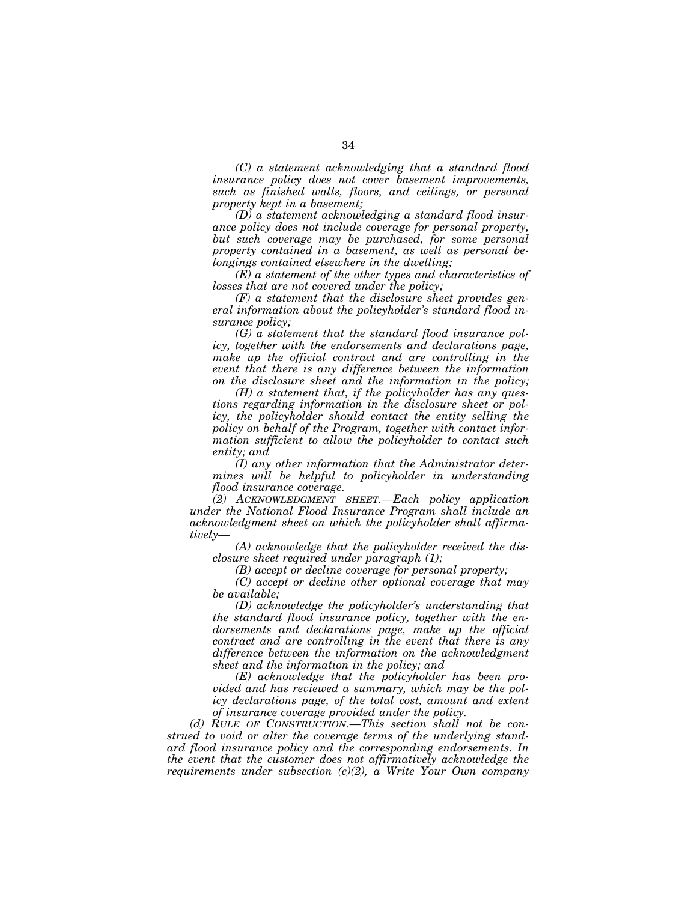*(C) a statement acknowledging that a standard flood insurance policy does not cover basement improvements, such as finished walls, floors, and ceilings, or personal property kept in a basement;* 

*(D) a statement acknowledging a standard flood insurance policy does not include coverage for personal property, but such coverage may be purchased, for some personal property contained in a basement, as well as personal belongings contained elsewhere in the dwelling;* 

*(E) a statement of the other types and characteristics of losses that are not covered under the policy;* 

*(F) a statement that the disclosure sheet provides general information about the policyholder's standard flood insurance policy;* 

*(G) a statement that the standard flood insurance policy, together with the endorsements and declarations page, make up the official contract and are controlling in the event that there is any difference between the information on the disclosure sheet and the information in the policy;* 

*(H) a statement that, if the policyholder has any questions regarding information in the disclosure sheet or policy, the policyholder should contact the entity selling the policy on behalf of the Program, together with contact information sufficient to allow the policyholder to contact such entity; and* 

*(I) any other information that the Administrator determines will be helpful to policyholder in understanding flood insurance coverage.* 

*(2) ACKNOWLEDGMENT SHEET.—Each policy application under the National Flood Insurance Program shall include an acknowledgment sheet on which the policyholder shall affirmatively—* 

*(A) acknowledge that the policyholder received the disclosure sheet required under paragraph (1);* 

*(B) accept or decline coverage for personal property;* 

*(C) accept or decline other optional coverage that may be available;* 

*(D) acknowledge the policyholder's understanding that the standard flood insurance policy, together with the endorsements and declarations page, make up the official contract and are controlling in the event that there is any difference between the information on the acknowledgment sheet and the information in the policy; and* 

*(E) acknowledge that the policyholder has been provided and has reviewed a summary, which may be the policy declarations page, of the total cost, amount and extent of insurance coverage provided under the policy.* 

*(d) RULE OF CONSTRUCTION.—This section shall not be construed to void or alter the coverage terms of the underlying standard flood insurance policy and the corresponding endorsements. In the event that the customer does not affirmatively acknowledge the requirements under subsection (c)(2), a Write Your Own company*